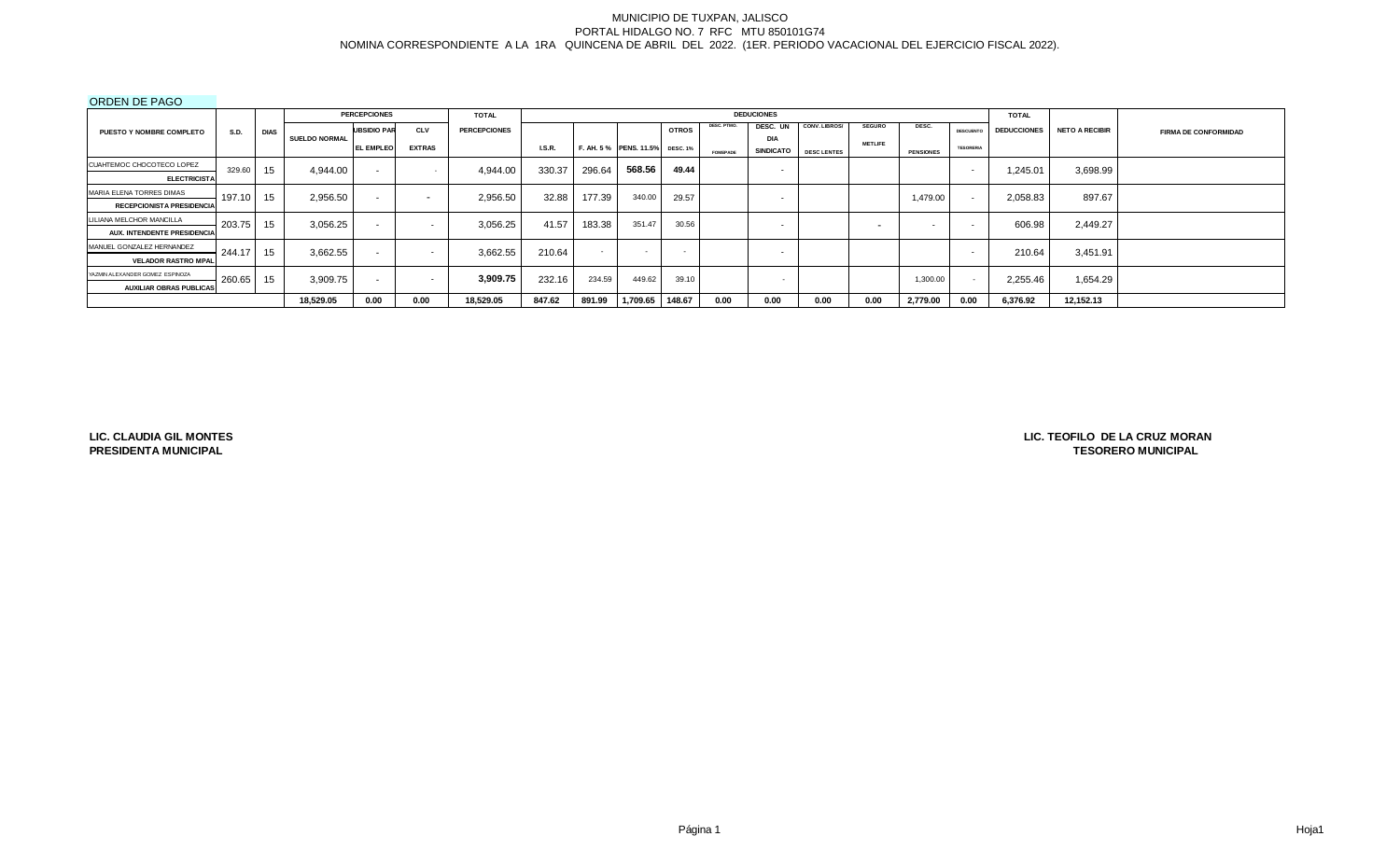#### ORDEN DE PAGO

|                                    |             |             |                      | <b>PERCEPCIONES</b>      |                          | <b>TOTAL</b>        |        |            |                                |              |             | <b>DEDUCIONES</b>        |                    |                |                  |                            | <b>TOTAL</b>       |                       |                             |
|------------------------------------|-------------|-------------|----------------------|--------------------------|--------------------------|---------------------|--------|------------|--------------------------------|--------------|-------------|--------------------------|--------------------|----------------|------------------|----------------------------|--------------------|-----------------------|-----------------------------|
| <b>PUESTO Y NOMBRE COMPLETO</b>    | <b>S.D.</b> | <b>DIAS</b> |                      | <b>UBSIDIO PAR</b>       | <b>CLV</b>               | <b>PERCEPCIONES</b> |        |            |                                | <b>OTROS</b> | DESC. PTMO. | DESC. UN                 | CONV. LIBROS/      | <b>SEGURO</b>  | DESC.            | <b>DESCUENTO</b>           | <b>DEDUCCIONES</b> | <b>NETO A RECIBIR</b> | <b>FIRMA DE CONFORMIDAD</b> |
|                                    |             |             | <b>SUELDO NORMAL</b> | <b>EL EMPLEO</b>         | <b>EXTRAS</b>            |                     | I.S.R. |            | F. AH. 5% PENS. 11.5% DESC. 1% |              |             | <b>DIA</b>               |                    | <b>METLIFE</b> |                  | <b>TESORERIA</b>           |                    |                       |                             |
|                                    |             |             |                      |                          |                          |                     |        |            |                                |              | FOMEPADE    | <b>SINDICATO</b>         | <b>DESC LENTES</b> |                | <b>PENSIONES</b> |                            |                    |                       |                             |
| CUAHTEMOC CHOCOTECO LOPEZ          | 329.60      | 15          | 4.944.00             | $\sim$                   |                          | 4,944.00            | 330.37 | 296.64     | 568.56                         | 49.44        |             | $\overline{\phantom{0}}$ |                    |                |                  |                            | 1,245.01           | 3,698.99              |                             |
| <b>ELECTRICISTA</b>                |             |             |                      |                          |                          |                     |        |            |                                |              |             |                          |                    |                |                  |                            |                    |                       |                             |
| MARIA ELENA TORRES DIMAS           | 197.10      | 15          | 2,956.50             | $\sim$                   | $\overline{\phantom{0}}$ | 2,956.50            | 32.88  | 177.39     | 340.00                         | 29.57        |             | $\overline{\phantom{0}}$ |                    |                | 1,479.00         | $\sim$                     | 2,058.83           | 897.67                |                             |
| <b>RECEPCIONISTA PRESIDENCIA</b>   |             |             |                      |                          |                          |                     |        |            |                                |              |             |                          |                    |                |                  |                            |                    |                       |                             |
| LILIANA MELCHOR MANCILLA           | 203.75      | 15          | 3.056.25             | $\sim$                   | $\overline{\phantom{a}}$ | 3.056.25            | 41.57  | 183.38     | 351.47                         | 30.56        |             | $\overline{\phantom{a}}$ |                    |                |                  |                            | 606.98             | 2.449.27              |                             |
| <b>AUX. INTENDENTE PRESIDENCIA</b> |             |             |                      |                          |                          |                     |        |            |                                |              |             |                          |                    |                |                  |                            |                    |                       |                             |
| MANUEL GONZALEZ HERNANDEZ          | 244.17      | 15          | 3,662.55             | $\sim$                   | $\sim$                   | 3,662.55            | 210.64 | <b>A</b> 1 | $\sim$                         | $\sim$       |             | $\overline{\phantom{0}}$ |                    |                |                  |                            | 210.64             | 3,451.91              |                             |
| <b>VELADOR RASTRO MPAL</b>         |             |             |                      |                          |                          |                     |        |            |                                |              |             |                          |                    |                |                  |                            |                    |                       |                             |
| YAZMIN ALEXANDER GOMEZ ESPINOZA    | 260.65 15   |             | 3,909.75             | $\overline{\phantom{0}}$ | $\overline{\phantom{a}}$ | 3,909.75            | 232.16 | 234.59     | 449.62                         | 39.10        |             | . .                      |                    |                | 1,300.00         | <b><i><u>Parts</u></i></b> | 2,255.46           | 1,654.29              |                             |
| <b>AUXILIAR OBRAS PUBLICAS</b>     |             |             |                      |                          |                          |                     |        |            |                                |              |             |                          |                    |                |                  |                            |                    |                       |                             |
|                                    |             |             | 18,529.05            | 0.00                     | 0.00                     | 18,529.05           | 847.62 | 891.99     | 1,709.65                       | 148.67       | 0.00        | 0.00                     | 0.00               | 0.00           | 2,779.00         | 0.00                       | 6,376.92           | 12,152.13             |                             |

**LIC. CLAUDIA GIL MONTES PRESIDENTA MUNICIPAL**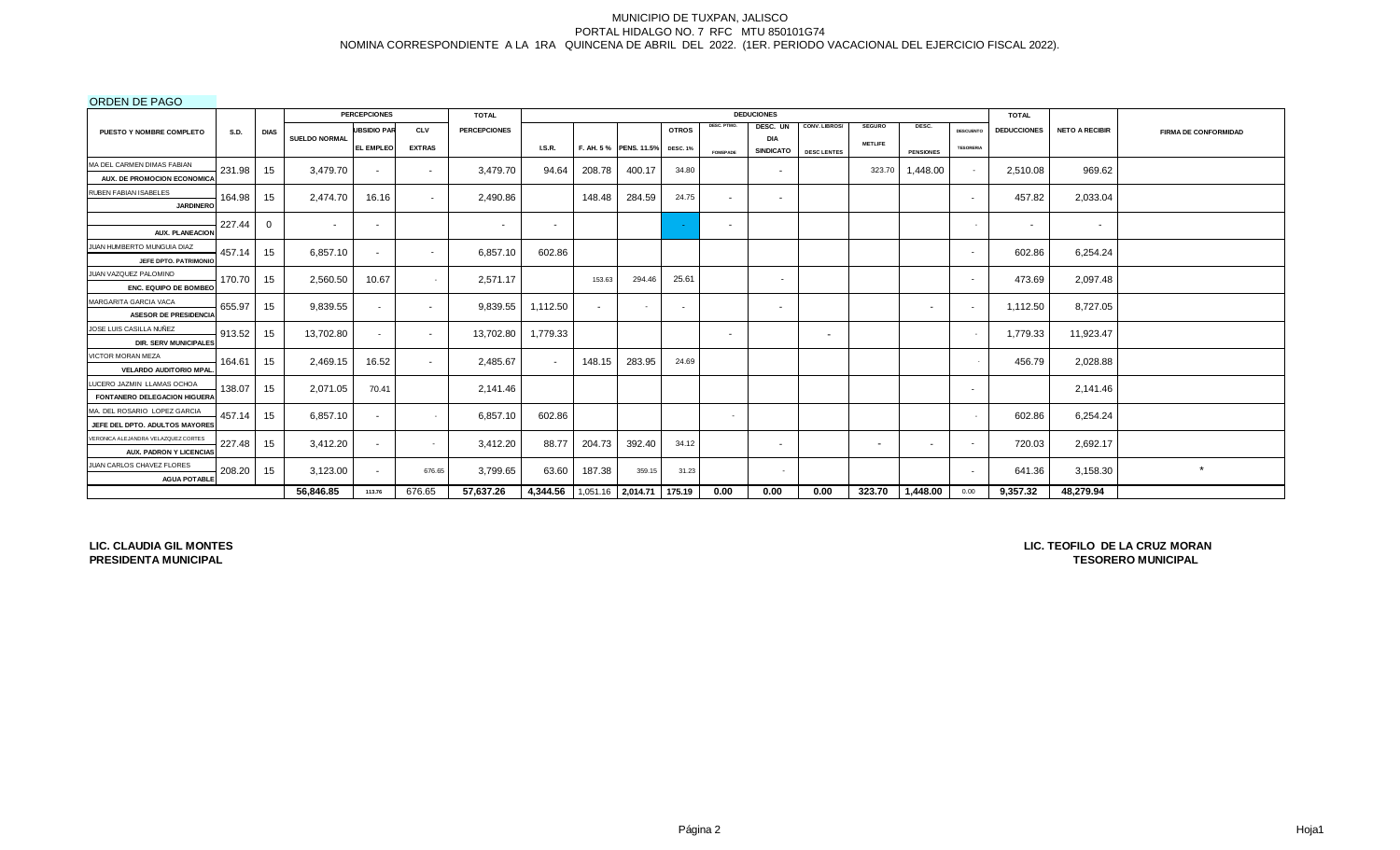ORDEN DE PAGO

|                                                  |        |          |                      | <b>PERCEPCIONES</b>      |                          | <b>TOTAL</b>        |                                   |        |                        |                 |                 | <b>DEDUCIONES</b>        |                          |                          |                  |                          | <b>TOTAL</b>       |                       |                             |
|--------------------------------------------------|--------|----------|----------------------|--------------------------|--------------------------|---------------------|-----------------------------------|--------|------------------------|-----------------|-----------------|--------------------------|--------------------------|--------------------------|------------------|--------------------------|--------------------|-----------------------|-----------------------------|
| <b>PUESTO Y NOMBRE COMPLETO</b>                  | S.D.   | DIAS     |                      | <b>UBSIDIO PAR</b>       | <b>CLV</b>               | <b>PERCEPCIONES</b> |                                   |        |                        | <b>OTROS</b>    | DESC. PTMO.     | DESC. UN                 | CONV. LIBROS/            | <b>SEGURO</b>            | DESC.            | <b>DESCUENTO</b>         | <b>DEDUCCIONES</b> | <b>NETO A RECIBIR</b> | <b>FIRMA DE CONFORMIDAD</b> |
|                                                  |        |          | <b>SUELDO NORMAL</b> | EL EMPLEO                | <b>EXTRAS</b>            |                     | <b>I.S.R.</b>                     |        | F. AH. 5 % PENS. 11.5% | <b>DESC. 1%</b> |                 | <b>DIA</b>               |                          | <b>METLIFE</b>           |                  | <b>TESORERIA</b>         |                    |                       |                             |
|                                                  |        |          |                      |                          |                          |                     |                                   |        |                        |                 | <b>FOMEPADE</b> |                          | SINDICATO DESCLENTES     |                          | <b>PENSIONES</b> |                          |                    |                       |                             |
| MA DEL CARMEN DIMAS FABIAN                       | 231.98 | 15       | 3,479.70             | $\sim$                   | $\sim$                   | 3.479.70            | 94.64                             | 208.78 | 400.17                 | 34.80           |                 | $\overline{\phantom{a}}$ |                          | 323.70                   | 1,448.00         | $\sim$                   | 2,510.08           | 969.62                |                             |
| AUX. DE PROMOCION ECONOMICA                      |        |          |                      |                          |                          |                     |                                   |        |                        |                 |                 |                          |                          |                          |                  |                          |                    |                       |                             |
| RUBEN FABIAN ISABELES                            | 164.98 | 15       | 2.474.70             | 16.16                    | $\overline{\phantom{0}}$ | 2,490.86            |                                   | 148.48 | 284.59                 | 24.75           | $\sim$          | $\sim$                   |                          |                          |                  | $\overline{\phantom{0}}$ | 457.82             | 2,033.04              |                             |
| <b>JARDINERO</b>                                 |        |          |                      |                          |                          |                     |                                   |        |                        |                 |                 |                          |                          |                          |                  |                          |                    |                       |                             |
|                                                  | 227.44 | $\Omega$ |                      | $\sim$                   |                          | $\sim$              | $\sim$                            |        |                        |                 | $\sim$          |                          |                          |                          |                  | $\sim$                   | $\sim$             | $\sim$                |                             |
| <b>AUX. PLANEACION</b>                           |        |          |                      |                          |                          |                     |                                   |        |                        |                 |                 |                          |                          |                          |                  |                          |                    |                       |                             |
| JUAN HUMBERTO MUNGUIA DIAZ                       | 457.14 | 15       | 6,857.10             | $\sim$                   | $\overline{\phantom{a}}$ | 6,857.10            | 602.86                            |        |                        |                 |                 |                          |                          |                          |                  | $\sim$                   | 602.86             | 6,254.24              |                             |
| JEFE DPTO, PATRIMONIO                            |        |          |                      |                          |                          |                     |                                   |        |                        |                 |                 |                          |                          |                          |                  |                          |                    |                       |                             |
| JUAN VAZQUEZ PALOMINO                            | 170.70 | 15       | 2,560.50             | 10.67                    |                          | 2.571.17            |                                   | 153.63 | 294.46                 | 25.61           |                 | $\overline{\phantom{a}}$ |                          |                          |                  | $\overline{\phantom{a}}$ | 473.69             | 2,097.48              |                             |
| <b>ENC. EQUIPO DE BOMBEC</b>                     |        |          |                      |                          |                          |                     |                                   |        |                        |                 |                 |                          |                          |                          |                  |                          |                    |                       |                             |
| MARGARITA GARCIA VACA                            | 655.97 | 15       | 9,839.55             | $\sim$                   | $\sim$                   | 9,839.55            | 1,112.50                          | $\sim$ |                        | $\sim$          |                 | $\sim$                   |                          |                          | $\sim$           | $\sim$                   | 1.112.50           | 8,727.05              |                             |
| <b>ASESOR DE PRESIDENCIA</b>                     |        |          |                      |                          |                          |                     |                                   |        |                        |                 |                 |                          |                          |                          |                  |                          |                    |                       |                             |
| JOSE LUIS CASILLA NUÑEZ                          | 913.52 | 15       | 13,702.80            | $\overline{\phantom{a}}$ | $\sim$                   | 13,702.80           | 1,779.33                          |        |                        |                 | $\sim$          |                          | $\overline{\phantom{0}}$ |                          |                  | $\overline{\phantom{a}}$ | 1,779.33           | 11,923.47             |                             |
| <b>DIR. SERV MUNICIPALES</b>                     |        |          |                      |                          |                          |                     |                                   |        |                        |                 |                 |                          |                          |                          |                  |                          |                    |                       |                             |
| VICTOR MORAN MEZA                                | 164.61 | 15       | 2,469.15             | 16.52                    | $\sim$                   | 2,485.67            | $\sim$                            | 148.15 | 283.95                 | 24.69           |                 |                          |                          |                          |                  |                          | 456.79             | 2,028.88              |                             |
| <b>VELARDO AUDITORIO MPAL</b>                    |        |          |                      |                          |                          |                     |                                   |        |                        |                 |                 |                          |                          |                          |                  |                          |                    |                       |                             |
| LUCERO JAZMIN LLAMAS OCHOA                       | 138.07 | 15       | 2.071.05             | 70.41                    |                          | 2.141.46            |                                   |        |                        |                 |                 |                          |                          |                          |                  | $\sim$                   |                    | 2,141.46              |                             |
| <b>FONTANERO DELEGACION HIGUERA</b>              |        |          |                      |                          |                          |                     |                                   |        |                        |                 |                 |                          |                          |                          |                  |                          |                    |                       |                             |
| MA. DEL ROSARIO LOPEZ GARCIA                     | 457.14 | 15       | 6.857.10             | $\sim$                   |                          | 6,857.10            | 602.86                            |        |                        |                 | $\sim$          |                          |                          |                          |                  |                          | 602.86             | 6,254.24              |                             |
| JEFE DEL DPTO, ADULTOS MAYORES                   |        |          |                      |                          |                          |                     |                                   |        |                        |                 |                 |                          |                          |                          |                  |                          |                    |                       |                             |
| VERONICA ALEJANDRA VELAZQUEZ CORTES              | 227.48 | 15       | 3,412.20             | $\sim$                   |                          | 3,412.20            | 88.77                             | 204.73 | 392.40                 | 34.12           |                 | $\sim$                   |                          | $\overline{\phantom{a}}$ | $\sim$           | $\overline{\phantom{a}}$ | 720.03             | 2,692.17              |                             |
| <b>AUX. PADRON Y LICENCIAS</b>                   |        |          |                      |                          |                          |                     |                                   |        |                        |                 |                 |                          |                          |                          |                  |                          |                    |                       |                             |
| JUAN CARLOS CHAVEZ FLORES<br><b>AGUA POTABLE</b> | 208.20 | 15       | 3,123.00             | $\sim$                   | 676.65                   | 3,799.65            | 63.60                             | 187.38 | 359.15                 | 31.23           |                 | $\sim$                   |                          |                          |                  | $\sim$                   | 641.36             | 3,158.30              | $\star$                     |
|                                                  |        |          | 56.846.85            | 113.76                   | 676.65                   | 57.637.26           | 4,344.56 1,051.16 2,014.71 175.19 |        |                        |                 | 0.00            | 0.00                     | 0.00                     | 323.70                   | 1,448.00         | 0.00                     | 9,357.32           | 48.279.94             |                             |

**LIC. CLAUDIA GIL MONTES PRESIDENTA MUNICIPAL**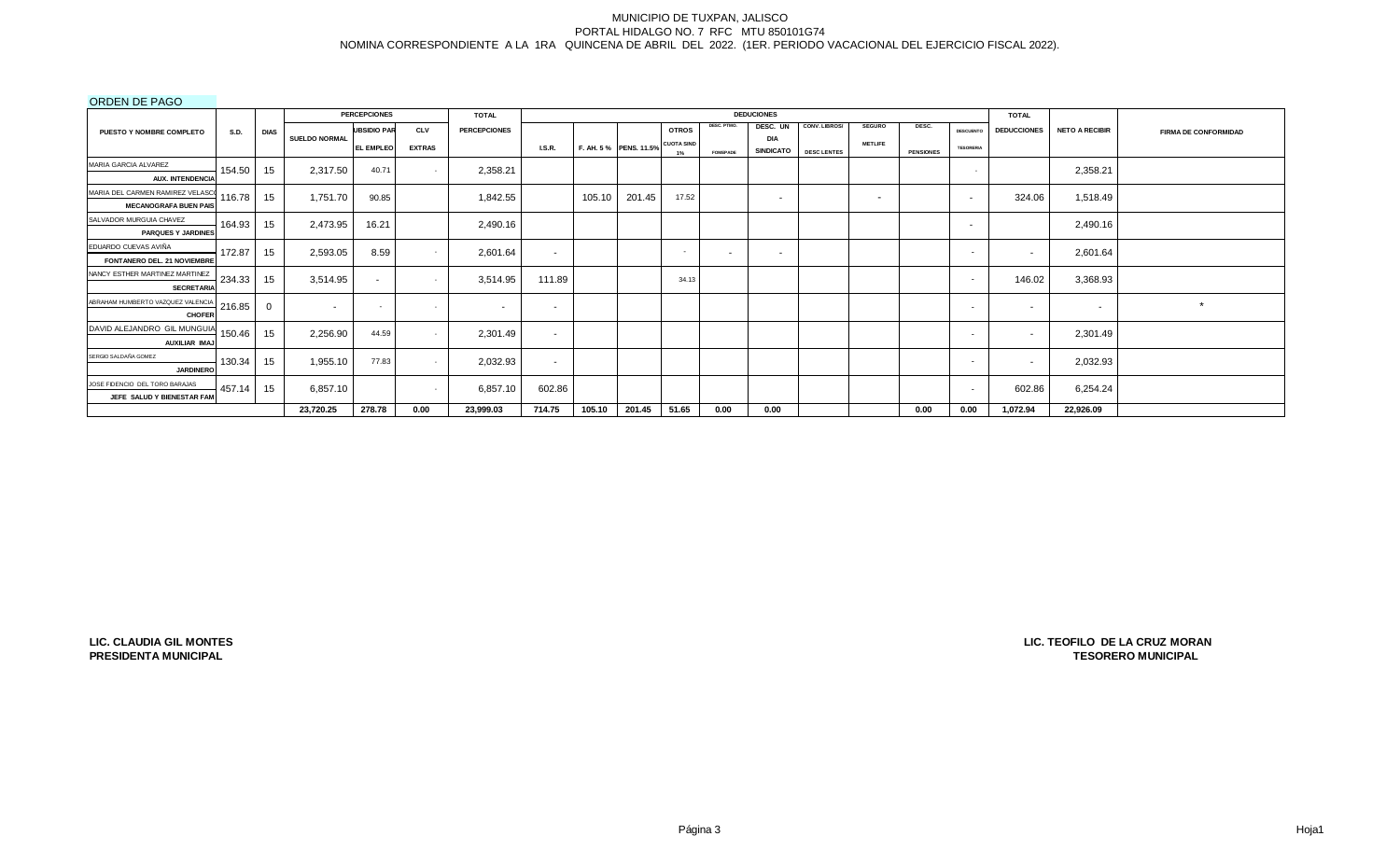ORDEN DE PAGO

| -------------                                                |             |             |                          | <b>PERCEPCIONES</b> |               | <b>TOTAL</b>        |               |        |                       |                         |                 | <b>DEDUCIONES</b>              |                    |                |                  |                  | <b>TOTAL</b>       |                       |                             |
|--------------------------------------------------------------|-------------|-------------|--------------------------|---------------------|---------------|---------------------|---------------|--------|-----------------------|-------------------------|-----------------|--------------------------------|--------------------|----------------|------------------|------------------|--------------------|-----------------------|-----------------------------|
| <b>PUESTO Y NOMBRE COMPLETO</b>                              | <b>S.D.</b> | <b>DIAS</b> |                          | <b>UBSIDIO PAR</b>  | <b>CLV</b>    | <b>PERCEPCIONES</b> |               |        |                       | <b>OTROS</b>            | DESC. PTMO.     | DESC. UN                       | CONV. LIBROS/      | <b>SEGURO</b>  | DESC.            | <b>DESCUENTO</b> | <b>DEDUCCIONES</b> | <b>NETO A RECIBIR</b> | <b>FIRMA DE CONFORMIDAD</b> |
|                                                              |             |             | <b>SUELDO NORMAL</b>     | <b>EL EMPLEO</b>    | <b>EXTRAS</b> |                     | <b>I.S.R.</b> |        | F. AH. 5% PENS. 11.5% | <b>CUOTA SIND</b><br>1% | <b>FOMEPADE</b> | <b>DIA</b><br><b>SINDICATO</b> | <b>DESC LENTES</b> | <b>METLIFE</b> | <b>PENSIONES</b> | <b>TESORERIA</b> |                    |                       |                             |
| MARIA GARCIA ALVAREZ                                         | 154.50      | 15          | 2,317.50                 | 40.71               |               | 2,358.21            |               |        |                       |                         |                 |                                |                    |                |                  | $\sim$           |                    | 2,358.21              |                             |
| <b>AUX. INTENDENCIA</b><br>MARIA DEL CARMEN RAMIREZ VELASCO  | 116.78      | 15          | 1,751.70                 | 90.85               |               | 1,842.55            |               | 105.10 | 201.45                | 17.52                   |                 |                                |                    |                |                  | $\sim$           | 324.06             | 1,518.49              |                             |
| <b>MECANOGRAFA BUEN PAIS</b>                                 |             |             |                          |                     |               |                     |               |        |                       |                         |                 | $\sim$                         |                    | $\sim$         |                  |                  |                    |                       |                             |
| SALVADOR MURGUIA CHAVEZ<br><b>PARQUES Y JARDINES</b>         | 164.93      | 15          | 2,473.95                 | 16.21               |               | 2,490.16            |               |        |                       |                         |                 |                                |                    |                |                  | $\sim$           |                    | 2,490.16              |                             |
| EDUARDO CUEVAS AVIÑA<br>FONTANERO DEL. 21 NOVIEMBRE          | 172.87      | 15          | 2,593.05                 | 8.59                |               | 2,601.64            | $\sim$        |        |                       | $\sim$                  | $\sim$          | $\overline{\phantom{a}}$       |                    |                |                  | $\sim$           |                    | 2,601.64              |                             |
| NANCY ESTHER MARTINEZ MARTINEZ<br><b>SECRETARIA</b>          | 234.33      | 15          | 3,514.95                 | $\sim$              | $\sim$        | 3,514.95            | 111.89        |        |                       | 34.13                   |                 |                                |                    |                |                  | $\sim$           | 146.02             | 3,368.93              |                             |
| ABRAHAM HUMBERTO VAZQUEZ VALENCIA<br><b>CHOFER</b>           | 216.85      |             | $\overline{\phantom{a}}$ | $\sim$              | $\sim$        | $\sim$              | $\sim$        |        |                       |                         |                 |                                |                    |                |                  | $\sim$           | $\sim$             | $\sim$                | $\star$                     |
| DAVID ALEJANDRO GIL MUNGUIA<br>AUXILIAR IMAJ                 | 150.46      | 15          | 2,256.90                 | 44.59               |               | 2,301.49            | $\sim$        |        |                       |                         |                 |                                |                    |                |                  | $\sim$           |                    | 2,301.49              |                             |
| SERGIO SALDAÑA GOMEZ<br><b>JARDINERO</b>                     | 130.34      | 15          | 1,955.10                 | 77.83               | $\sim$        | 2,032.93            | $\sim$        |        |                       |                         |                 |                                |                    |                |                  | $\sim$           |                    | 2,032.93              |                             |
| JOSE FIDENCIO DEL TORO BARAJAS<br>JEFE SALUD Y BIENESTAR FAM | 457.14      | 15          | 6,857.10                 |                     | $\sim$        | 6,857.10            | 602.86        |        |                       |                         |                 |                                |                    |                |                  | $\sim$           | 602.86             | 6,254.24              |                             |
|                                                              |             |             | 23,720.25                | 278.78              | 0.00          | 23,999.03           | 714.75        | 105.10 | 201.45                | 51.65                   | 0.00            | 0.00                           |                    |                | 0.00             | 0.00             | 1,072.94           | 22,926.09             |                             |

**LIC. CLAUDIA GIL MONTES PRESIDENTA MUNICIPAL**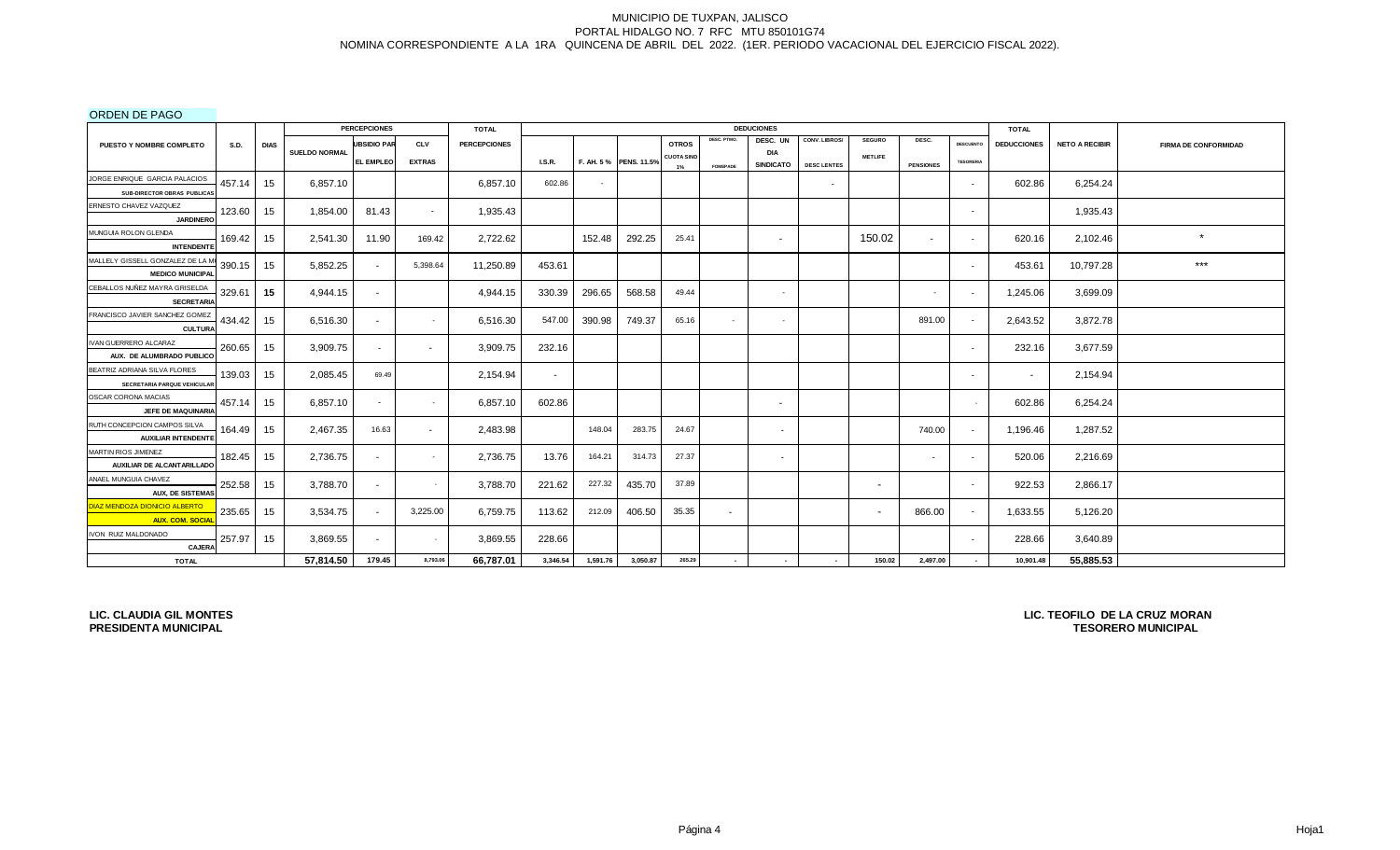ORDEN DE PAGO

|                                                                 |             |             |                      | <b>PERCEPCIONES</b> |               | <b>TOTAL</b>        |               |          |                       |                         |                 | <b>DEDUCIONES</b>              |                    |                |                          |                          | <b>TOTAL</b>       |                       |                             |
|-----------------------------------------------------------------|-------------|-------------|----------------------|---------------------|---------------|---------------------|---------------|----------|-----------------------|-------------------------|-----------------|--------------------------------|--------------------|----------------|--------------------------|--------------------------|--------------------|-----------------------|-----------------------------|
| <b>PUESTO Y NOMBRE COMPLETO</b>                                 | <b>S.D.</b> | <b>DIAS</b> |                      | <b>UBSIDIO PAR</b>  | <b>CLV</b>    | <b>PERCEPCIONES</b> |               |          |                       | <b>OTROS</b>            | DESC. PTMO.     | DESC. UN                       | CONV. LIBROS/      | <b>SEGURO</b>  | DESC.                    | <b>DESCUENTO</b>         | <b>DEDUCCIONES</b> | <b>NETO A RECIBIR</b> | <b>FIRMA DE CONFORMIDAD</b> |
|                                                                 |             |             | <b>SUELDO NORMAL</b> | <b>EL EMPLEO</b>    | <b>EXTRAS</b> |                     | <b>I.S.R.</b> |          | F. AH. 5% PENS. 11.5% | <b>CUOTA SINE</b><br>1% | <b>FOMEPADE</b> | <b>DIA</b><br><b>SINDICATO</b> | <b>DESC LENTES</b> | <b>METLIFE</b> | <b>PENSIONES</b>         | <b>TESORERIA</b>         |                    |                       |                             |
| JORGE ENRIQUE GARCIA PALACIOS                                   | 457.14      | 15          | 6,857.10             |                     |               | 6,857.10            | 602.86        |          |                       |                         |                 |                                | $\sim$             |                |                          | $\sim$                   | 602.86             | 6,254.24              |                             |
| SUB-DIRECTOR OBRAS PUBLICAS                                     |             |             |                      |                     |               |                     |               |          |                       |                         |                 |                                |                    |                |                          |                          |                    |                       |                             |
| ERNESTO CHAVEZ VAZQUEZ<br><b>JARDINERO</b>                      | 123.60      | 15          | 1,854.00             | 81.43               | $\sim$        | 1,935.43            |               |          |                       |                         |                 |                                |                    |                |                          | $\sim$                   |                    | 1,935.43              |                             |
| MUNGUIA ROLON GLENDA<br><b>INTENDENTE</b>                       | 169.42      | 15          | 2,541.30             | 11.90               | 169.42        | 2,722.62            |               | 152.48   | 292.25                | 25.41                   |                 | $\sim$                         |                    | 150.02         | $\sim$                   | $\sim$                   | 620.16             | 2,102.46              | $\star$                     |
| MALLELY GISSELL GONZALEZ DE LA M<br><b>MEDICO MUNICIPAL</b>     | 390.15      | 15          | 5,852.25             | $\sim$              | 5,398.64      | 11,250.89           | 453.61        |          |                       |                         |                 |                                |                    |                |                          | $\overline{\phantom{a}}$ | 453.61             | 10,797.28             | $***$                       |
| CEBALLOS NUÑEZ MAYRA GRISELDA<br><b>SECRETARIA</b>              | 329.61      | 15          | 4,944.15             | $\sim$              |               | 4,944.15            | 330.39        | 296.65   | 568.58                | 49.44                   |                 | $\sim$                         |                    |                | $\sim$                   | $\overline{\phantom{a}}$ | 1,245.06           | 3,699.09              |                             |
| FRANCISCO JAVIER SANCHEZ GOMEZ<br><b>CULTURA</b>                | 434.42      | 15          | 6,516.30             | $\sim$              |               | 6,516.30            | 547.00        | 390.98   | 749.37                | 65.16                   | $\sim$          | $\sim$                         |                    |                | 891.00                   |                          | 2,643.52           | 3,872.78              |                             |
| IVAN GUERRERO ALCARAZ<br>AUX. DE ALUMBRADO PUBLICO              | 260.65      | 15          | 3,909.75             | $\sim$              | $\sim$        | 3,909.75            | 232.16        |          |                       |                         |                 |                                |                    |                |                          | $\overline{\phantom{0}}$ | 232.16             | 3,677.59              |                             |
| BEATRIZ ADRIANA SILVA FLORES<br>SECRETARIA PARQUE VEHICULAR     | 139.03      | 15          | 2,085.45             | 69.49               |               | 2,154.94            | $\sim$        |          |                       |                         |                 |                                |                    |                |                          | $\overline{\phantom{a}}$ | $\sim$             | 2,154.94              |                             |
| OSCAR CORONA MACIAS<br>JEFE DE MAQUINARIA                       | 457.14      | 15          | 6.857.10             | $\sim$              |               | 6,857.10            | 602.86        |          |                       |                         |                 | $\sim$                         |                    |                |                          |                          | 602.86             | 6,254.24              |                             |
| RUTH CONCEPCION CAMPOS SILVA<br><b>AUXILIAR INTENDENTE</b>      | 164.49      | 15          | 2,467.35             | 16.63               | $\sim$        | 2,483.98            |               | 148.04   | 283.75                | 24.67                   |                 | $\sim$                         |                    |                | 740.00                   |                          | 1,196.46           | 1,287.52              |                             |
| MARTIN RIOS JIMENEZ<br>AUXILIAR DE ALCANTARILLADO               | 182.45      | 15          | 2,736.75             | $\sim$              | $\sim$        | 2,736.75            | 13.76         | 164.21   | 314.73                | 27.37                   |                 | $\sim$                         |                    |                | $\overline{\phantom{a}}$ |                          | 520.06             | 2,216.69              |                             |
| ANAEL MUNGUIA CHAVEZ<br><b>AUX, DE SISTEMAS</b>                 | 252.58      | 15          | 3,788.70             | $\sim$              |               | 3,788.70            | 221.62        | 227.32   | 435.70                | 37.89                   |                 |                                |                    | $\sim$         |                          | $\overline{\phantom{0}}$ | 922.53             | 2,866.17              |                             |
| <b>DIAZ MENDOZA DIONICIO ALBERTO</b><br><b>AUX. COM. SOCIAL</b> | 235.65      | 15          | 3,534.75             | $\sim$              | 3,225.00      | 6,759.75            | 113.62        | 212.09   | 406.50                | 35.35                   | $\sim$          |                                |                    | $\sim$         | 866.00                   |                          | 1,633.55           | 5,126.20              |                             |
| IVON RUIZ MALDONADO<br>CAJERA                                   | 257.97      | 15          | 3,869.55             | $\sim$              |               | 3,869.55            | 228.66        |          |                       |                         |                 |                                |                    |                |                          |                          | 228.66             | 3,640.89              |                             |
| <b>TOTAL</b>                                                    |             |             | 57,814.50            | 179.45              | 8,793.06      | 66,787.01           | 3,346.54      | 1,591.76 | 3,050.87              | 265.29                  |                 |                                |                    | 150.02         | 2,497.00                 |                          | 10,901.48          | 55,885.53             |                             |

**LIC. CLAUDIA GIL MONTES PRESIDENTA MUNICIPAL**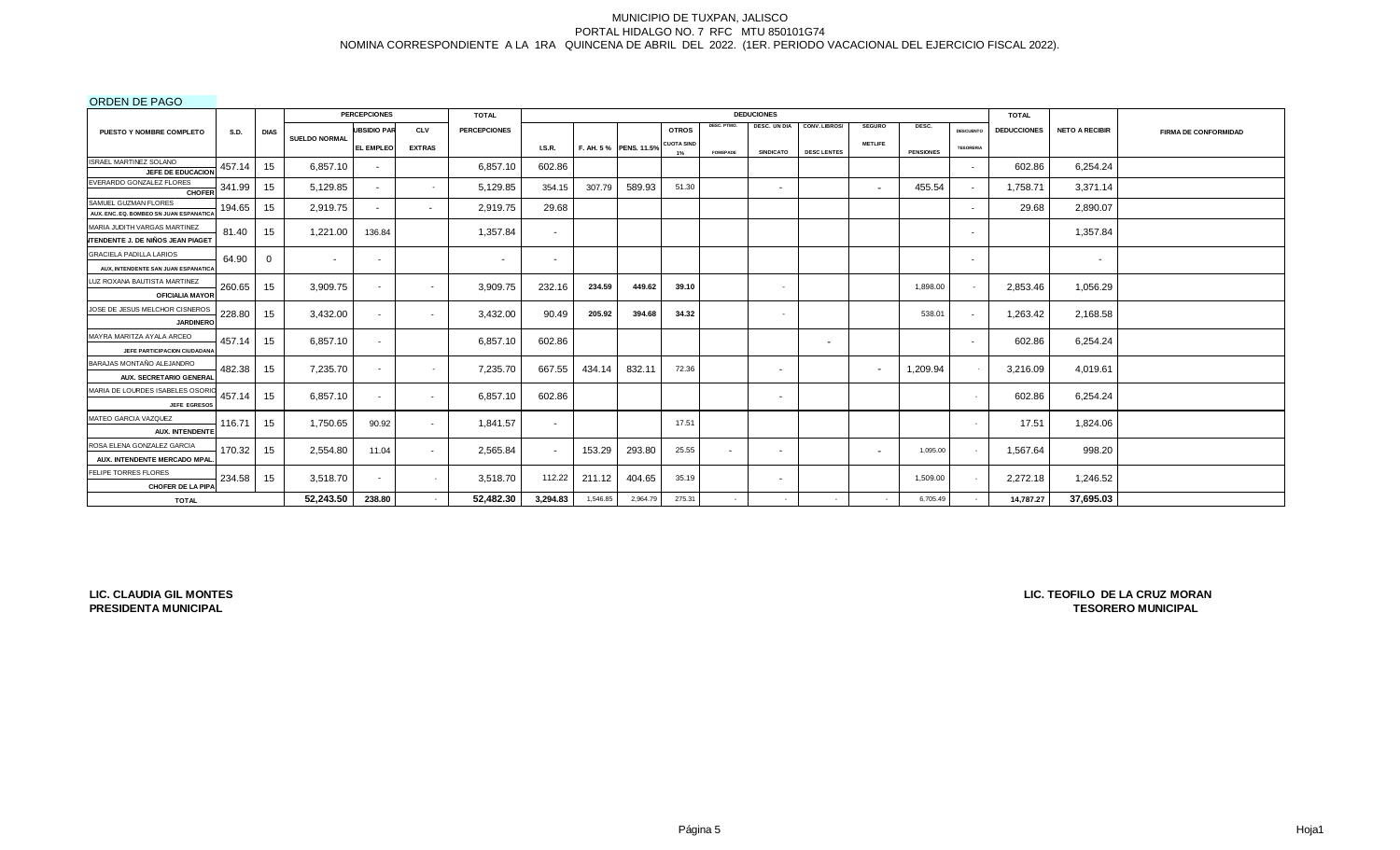ORDEN DE PAGO

|                                           |             |              |                      | <b>PERCEPCIONES</b>      |               | <b>TOTAL</b>        |          |          |                       |                   |                          | <b>DEDUCIONES</b>        |                          |                |                  |                  | <b>TOTAL</b>       |                          |                             |
|-------------------------------------------|-------------|--------------|----------------------|--------------------------|---------------|---------------------|----------|----------|-----------------------|-------------------|--------------------------|--------------------------|--------------------------|----------------|------------------|------------------|--------------------|--------------------------|-----------------------------|
| PUESTO Y NOMBRE COMPLETO                  | <b>S.D.</b> | <b>DIAS</b>  |                      | <b>JBSIDIO PAR</b>       | <b>CLV</b>    | <b>PERCEPCIONES</b> |          |          |                       | <b>OTROS</b>      | DESC. PTMO.              | DESC. UN DIA             | CONV. LIBROS/            | <b>SEGURO</b>  | DESC.            | <b>DESCUENTO</b> | <b>DEDUCCIONES</b> | <b>NETO A RECIBIR</b>    | <b>FIRMA DE CONFORMIDAD</b> |
|                                           |             |              | <b>SUELDO NORMAL</b> | EL EMPLEO                | <b>EXTRAS</b> |                     | LS.R.    |          | F. AH. 5% PENS. 11.5% | <b>CUOTA SIND</b> | <b>FOMEPADE</b>          | <b>SINDICATO</b>         | <b>DESC LENTES</b>       | <b>METLIFE</b> | <b>PENSIONES</b> | <b>TESORERIA</b> |                    |                          |                             |
| ISRAEL MARTINEZ SOLANO                    | 457.14      | 15           | 6.857.10             |                          |               | 6,857.10            | 602.86   |          |                       | 1%                |                          |                          |                          |                |                  |                  | 602.86             | 6,254.24                 |                             |
| JEFE DE EDUCACION                         |             |              |                      | $\sim$                   |               |                     |          |          |                       |                   |                          |                          |                          |                |                  |                  |                    |                          |                             |
| EVERARDO GONZALEZ FLORES<br><b>CHOFER</b> | 341.99      | 15           | 5,129.85             | $\sim$                   | $\sim$        | 5,129.85            | 354.15   | 307.79   | 589.93                | 51.30             |                          | $\sim$                   |                          | $\sim$         | 455.54           |                  | 1,758.71           | 3,371.14                 |                             |
| SAMUEL GUZMAN FLORES                      |             |              |                      |                          |               |                     |          |          |                       |                   |                          |                          |                          |                |                  |                  |                    |                          |                             |
| AUX, ENC. EQ. BOMBEO SN JUAN ESPANATICA   | 194.65      | 15           | 2,919.75             | $\sim$                   | $\sim$        | 2,919.75            | 29.68    |          |                       |                   |                          |                          |                          |                |                  |                  | 29.68              | 2,890.07                 |                             |
| MARIA JUDITH VARGAS MARTINEZ              | 81.40       | 15           | 1,221.00             | 136.84                   |               | 1,357.84            | $\sim$   |          |                       |                   |                          |                          |                          |                |                  |                  |                    | 1,357.84                 |                             |
| <b>NTENDENTE J. DE NIÑOS JEAN PIAGET</b>  |             |              |                      |                          |               |                     |          |          |                       |                   |                          |                          |                          |                |                  |                  |                    |                          |                             |
| <b>GRACIELA PADILLA LARIOS</b>            | 64.90       | $\mathbf{0}$ | $\sim$               | $\overline{\phantom{a}}$ |               | ۰.                  | ٠        |          |                       |                   |                          |                          |                          |                |                  |                  |                    | $\overline{\phantom{a}}$ |                             |
| AUX, INTENDENTE SAN JUAN ESPANATICA       |             |              |                      |                          |               |                     |          |          |                       |                   |                          |                          |                          |                |                  |                  |                    |                          |                             |
| LUZ ROXANA BAUTISTA MARTINEZ              | 260.65      | 15           | 3,909.75             | $\overline{\phantom{a}}$ | $\sim$        | 3,909.75            | 232.16   | 234.59   | 449.62                | 39.10             |                          | $\sim$                   |                          |                | 1,898.00         |                  | 2,853.46           | 1,056.29                 |                             |
| <b>OFICIALIA MAYOR</b>                    |             |              |                      |                          |               |                     |          |          |                       |                   |                          |                          |                          |                |                  |                  |                    |                          |                             |
| JOSE DE JESUS MELCHOR CISNEROS            | 228.80      | 15           | 3,432.00             | $\overline{\phantom{a}}$ | $\sim$        | 3,432.00            | 90.49    | 205.92   | 394.68                | 34.32             |                          | ٠                        |                          |                | 538.01           |                  | 1,263.42           | 2,168.58                 |                             |
| <b>JARDINERC</b>                          |             |              |                      |                          |               |                     |          |          |                       |                   |                          |                          |                          |                |                  |                  |                    |                          |                             |
| MAYRA MARITZA AYALA ARCEO                 | 457.14      | 15           | 6.857.10             | $\overline{\phantom{a}}$ |               | 6,857.10            | 602.86   |          |                       |                   |                          |                          | $\overline{\phantom{a}}$ |                |                  |                  | 602.86             | 6,254.24                 |                             |
| JEFE PARTICIPACION CIUDADANA              |             |              |                      |                          |               |                     |          |          |                       |                   |                          |                          |                          |                |                  |                  |                    |                          |                             |
| BARAJAS MONTAÑO ALEJANDRO                 | 482.38      | 15           | 7,235.70             | $\overline{\phantom{a}}$ | $\sim$        | 7,235.70            | 667.55   | 434.14   | 832.11                | 72.36             |                          | $\sim$                   |                          |                | 1,209.94         |                  | 3,216.09           | 4,019.61                 |                             |
| AUX. SECRETARIO GENERAL                   |             |              |                      |                          |               |                     |          |          |                       |                   |                          |                          |                          |                |                  |                  |                    |                          |                             |
| MARIA DE LOURDES ISABELES OSORI           | 457.14      | 15           | 6,857.10             | $\sim$                   | $\sim$        | 6,857.10            | 602.86   |          |                       |                   |                          | $\sim$                   |                          |                |                  |                  | 602.86             | 6,254.24                 |                             |
| <b>JEFE EGRESOS</b>                       |             |              |                      |                          |               |                     |          |          |                       |                   |                          |                          |                          |                |                  |                  |                    |                          |                             |
| MATEO GARCIA VAZQUEZ                      | 116.71      | 15           | 1,750.65             | 90.92                    | $\sim$        | 1,841.57            | $\sim$   |          |                       | 17.51             |                          |                          |                          |                |                  |                  | 17.51              | 1,824.06                 |                             |
| <b>AUX. INTENDENTE</b>                    |             |              |                      |                          |               |                     |          |          |                       |                   |                          |                          |                          |                |                  |                  |                    |                          |                             |
| ROSA ELENA GONZALEZ GARCIA                | 170.32      | 15           | 2,554.80             | 11.04                    | $\sim$        | 2,565.84            | $\sim$   | 153.29   | 293.80                | 25.55             | $\overline{\phantom{a}}$ | $\overline{\phantom{a}}$ |                          | $\sim$         | 1,095.00         |                  | 1,567.64           | 998.20                   |                             |
| AUX. INTENDENTE MERCADO MPAL              |             |              |                      |                          |               |                     |          |          |                       |                   |                          |                          |                          |                |                  |                  |                    |                          |                             |
| FELIPE TORRES FLORES                      | 234.58      | 15           | 3,518.70             | $\sim$                   | $\sim$        | 3,518.70            | 112.22   | 211.12   | 404.65                | 35.19             |                          | $\sim$                   |                          |                | 1,509.00         |                  | 2.272.18           | 1,246.52                 |                             |
| <b>CHOFER DE LA PIPA</b>                  |             |              |                      |                          |               |                     |          |          |                       |                   |                          |                          |                          |                |                  |                  |                    |                          |                             |
| <b>TOTAL</b>                              |             |              | 52,243.50            | 238.80                   |               | 52,482.30           | 3,294.83 | 1,546.85 | 2,964.79              | 275.31            |                          | $\sim$                   |                          |                | 6,705.49         |                  | 14,787.27          | 37.695.03                |                             |

**LIC. CLAUDIA GIL MONTES PRESIDENTA MUNICIPAL**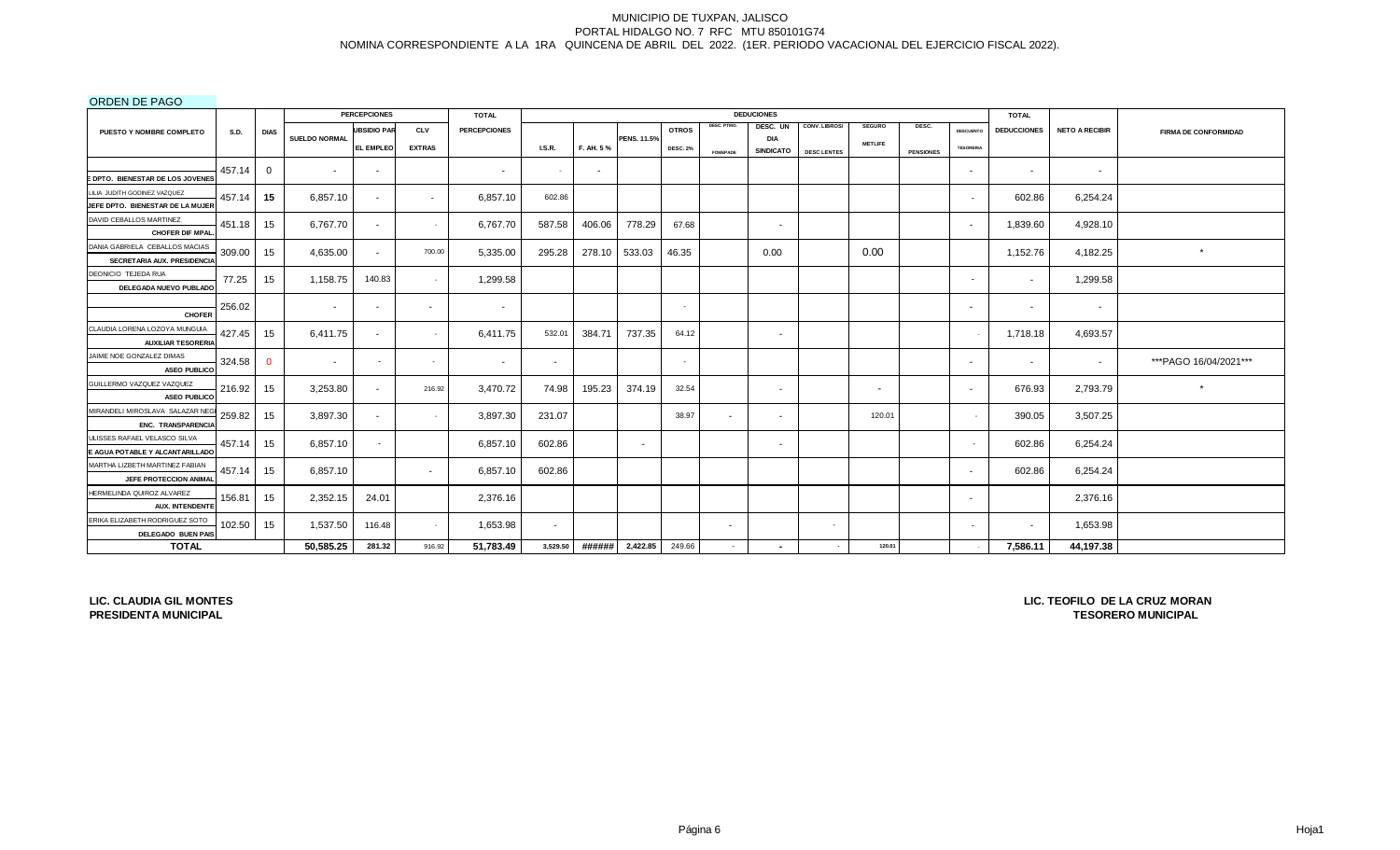ORDEN DE PAGO

| 000000000000                                                  |             |              |               | <b>PERCEPCIONES</b> |               | <b>TOTAL</b>        |                          |           |                    |                 |                 | <b>DEDUCIONES</b>              |                      |                          |                  |                          | <b>TOTAL</b>       |                       |                             |
|---------------------------------------------------------------|-------------|--------------|---------------|---------------------|---------------|---------------------|--------------------------|-----------|--------------------|-----------------|-----------------|--------------------------------|----------------------|--------------------------|------------------|--------------------------|--------------------|-----------------------|-----------------------------|
| PUESTO Y NOMBRE COMPLETO                                      | <b>S.D.</b> | <b>DIAS</b>  |               | <b>UBSIDIO PAR</b>  | CLV           | <b>PERCEPCIONES</b> |                          |           |                    | <b>OTROS</b>    | DESC. PTMO.     | DESC. UN                       | <b>CONV. LIBROS/</b> | <b>SEGURO</b>            | DESC.            | <b>DESCUENTO</b>         | <b>DEDUCCIONES</b> | <b>NETO A RECIBIR</b> | <b>FIRMA DE CONFORMIDAD</b> |
|                                                               |             |              | SUELDO NORMAL | <b>EL EMPLEO</b>    | <b>EXTRAS</b> |                     | <b>I.S.R.</b>            | F. AH. 5% | <b>PENS. 11.5%</b> | <b>DESC. 2%</b> |                 | <b>DIA</b><br><b>SINDICATO</b> |                      | <b>METLIFE</b>           |                  | <b>TESORERIA</b>         |                    |                       |                             |
|                                                               |             |              |               |                     |               |                     |                          |           |                    |                 | <b>FOMEPADE</b> |                                | <b>DESC LENTES</b>   |                          | <b>PENSIONES</b> |                          |                    |                       |                             |
| DPTO. BIENESTAR DE LOS JOVENES                                | 457.14      | 0            |               |                     |               | $\sim$              |                          | $\sim$    |                    |                 |                 |                                |                      |                          |                  | $\sim$                   | $\sim$             | $\sim$                |                             |
| LILIA JUDITH GODINEZ VAZQUEZ                                  | 457.14      | 15           | 6,857.10      |                     | $\sim$        | 6,857.10            | 602.86                   |           |                    |                 |                 |                                |                      |                          |                  |                          | 602.86             | 6,254.24              |                             |
| JEFE DPTO. BIENESTAR DE LA MUJER                              |             |              |               |                     |               |                     |                          |           |                    |                 |                 |                                |                      |                          |                  |                          |                    |                       |                             |
| DAVID CEBALLOS MARTINEZ                                       | 451.18      | 15           | 6,767.70      | $\sim$              | $\sim$        | 6,767.70            | 587.58                   | 406.06    | 778.29             | 67.68           |                 | $\overline{\phantom{a}}$       |                      |                          |                  | $\sim$                   | 1,839.60           | 4,928.10              |                             |
| <b>CHOFER DIF MPAL</b>                                        |             |              |               |                     |               |                     |                          |           |                    |                 |                 |                                |                      |                          |                  |                          |                    |                       |                             |
| DANIA GABRIELA CEBALLOS MACIAS<br>SECRETARIA AUX. PRESIDENCIA | 309.00      | 15           | 4,635.00      |                     | 700.00        | 5,335.00            | 295.28                   | 278.10    | 533.03             | 46.35           |                 | 0.00                           |                      | 0.00                     |                  |                          | 1,152.76           | 4,182.25              | $\star$                     |
| DEONICIO TEJEDA RUA                                           |             |              |               |                     |               |                     |                          |           |                    |                 |                 |                                |                      |                          |                  |                          |                    |                       |                             |
| DELEGADA NUEVO PUBLADO                                        | 77.25       | 15           | 1,158.75      | 140.83              | $\sim$        | 1,299.58            |                          |           |                    |                 |                 |                                |                      |                          |                  | $\overline{\phantom{a}}$ |                    | 1,299.58              |                             |
|                                                               | 256.02      |              | $\sim$        | $\sim$              | $\sim$        | $\sim$              |                          |           |                    |                 |                 |                                |                      |                          |                  | $\sim$                   | $\sim$             | $\sim$                |                             |
| <b>CHOFER</b>                                                 |             |              |               |                     |               |                     |                          |           |                    |                 |                 |                                |                      |                          |                  |                          |                    |                       |                             |
| CLAUDIA LORENA LOZOYA MUNGUIA                                 | 427.45      | 15           | 6.411.75      | $\sim$              | $\sim$        | 6.411.75            | 532.01                   | 384.71    | 737.35             | 64.12           |                 | $\sim$                         |                      |                          |                  |                          | 1.718.18           | 4,693.57              |                             |
| <b>AUXILIAR TESORERIA</b>                                     |             |              |               |                     |               |                     |                          |           |                    |                 |                 |                                |                      |                          |                  |                          |                    |                       |                             |
| JAIME NOE GONZALEZ DIMAS<br><b>ASEO PUBLICO</b>               | 324.58      | $\mathbf{0}$ | $\sim$        | $\sim$              | $\sim$        | $\sim$              | $\overline{\phantom{a}}$ |           |                    |                 |                 |                                |                      |                          |                  | $\sim$                   | $\sim$             | $\sim$                | ***PAGO 16/04/2021***       |
| GUILLERMO VAZQUEZ VAZQUEZ                                     | 216.92      | 15           | 3,253.80      |                     | 216.92        | 3,470.72            | 74.98                    | 195.23    | 374.19             | 32.54           |                 | $\overline{\phantom{a}}$       |                      | $\overline{\phantom{a}}$ |                  | $\sim$                   | 676.93             | 2,793.79              | $\star$                     |
| <b>ASEO PUBLICO</b>                                           |             |              |               |                     |               |                     |                          |           |                    |                 |                 |                                |                      |                          |                  |                          |                    |                       |                             |
| MIRANDELI MIROSLAVA SALAZAR NEG                               | 259.82      | 15           | 3,897.30      | $\sim$              | $\sim$        | 3,897.30            | 231.07                   |           |                    | 38.97           | $\sim$          | $\overline{\phantom{a}}$       |                      | 120.01                   |                  |                          | 390.05             | 3,507.25              |                             |
| ENC. TRANSPARENCIA                                            |             |              |               |                     |               |                     |                          |           |                    |                 |                 |                                |                      |                          |                  |                          |                    |                       |                             |
| JLISSES RAFAEL VELASCO SILVA                                  | 457.14      | 15           | 6,857.10      |                     |               | 6,857.10            | 602.86                   |           | $\sim$             |                 |                 | $\overline{\phantom{a}}$       |                      |                          |                  | $\sim$                   | 602.86             | 6,254.24              |                             |
| E AGUA POTABLE Y ALCANTARILLADO                               |             |              |               |                     |               |                     |                          |           |                    |                 |                 |                                |                      |                          |                  |                          |                    |                       |                             |
| MARTHA LIZBETH MARTINEZ FABIAN                                | 457.14      | 15           | 6,857.10      |                     | $\sim$        | 6,857.10            | 602.86                   |           |                    |                 |                 |                                |                      |                          |                  | $\sim$                   | 602.86             | 6,254.24              |                             |
| JEFE PROTECCION ANIMAL                                        |             |              |               |                     |               |                     |                          |           |                    |                 |                 |                                |                      |                          |                  |                          |                    |                       |                             |
| HERMELINDA QUIROZ ALVAREZ<br>AUX. INTENDENTE                  | 156.81      | 15           | 2,352.15      | 24.01               |               | 2,376.16            |                          |           |                    |                 |                 |                                |                      |                          |                  | $\sim$                   |                    | 2,376.16              |                             |
| ERIKA ELIZABETH RODRIGUEZ SOTO                                | 102.50      | 15           | 1,537.50      | 116.48              | $\sim 100$    | 1,653.98            | $\overline{\phantom{a}}$ |           |                    |                 | $\sim$          |                                | $\sim$               |                          |                  | $\overline{\phantom{a}}$ | $\sim$             | 1,653.98              |                             |
| DELEGADO BUEN PAIS                                            |             |              |               |                     |               |                     |                          |           |                    |                 |                 |                                |                      |                          |                  |                          |                    |                       |                             |
| <b>TOTAL</b>                                                  |             |              | 50,585.25     | 281.32              | 916.92        | 51,783.49           | 3,529.50                 | ######    | 2,422.85           | 249.66          | $\sim$          |                                |                      | 120.01                   |                  |                          | 7,586.11           | 44,197.38             |                             |

**LIC. CLAUDIA GIL MONTES PRESIDENTA MUNICIPAL**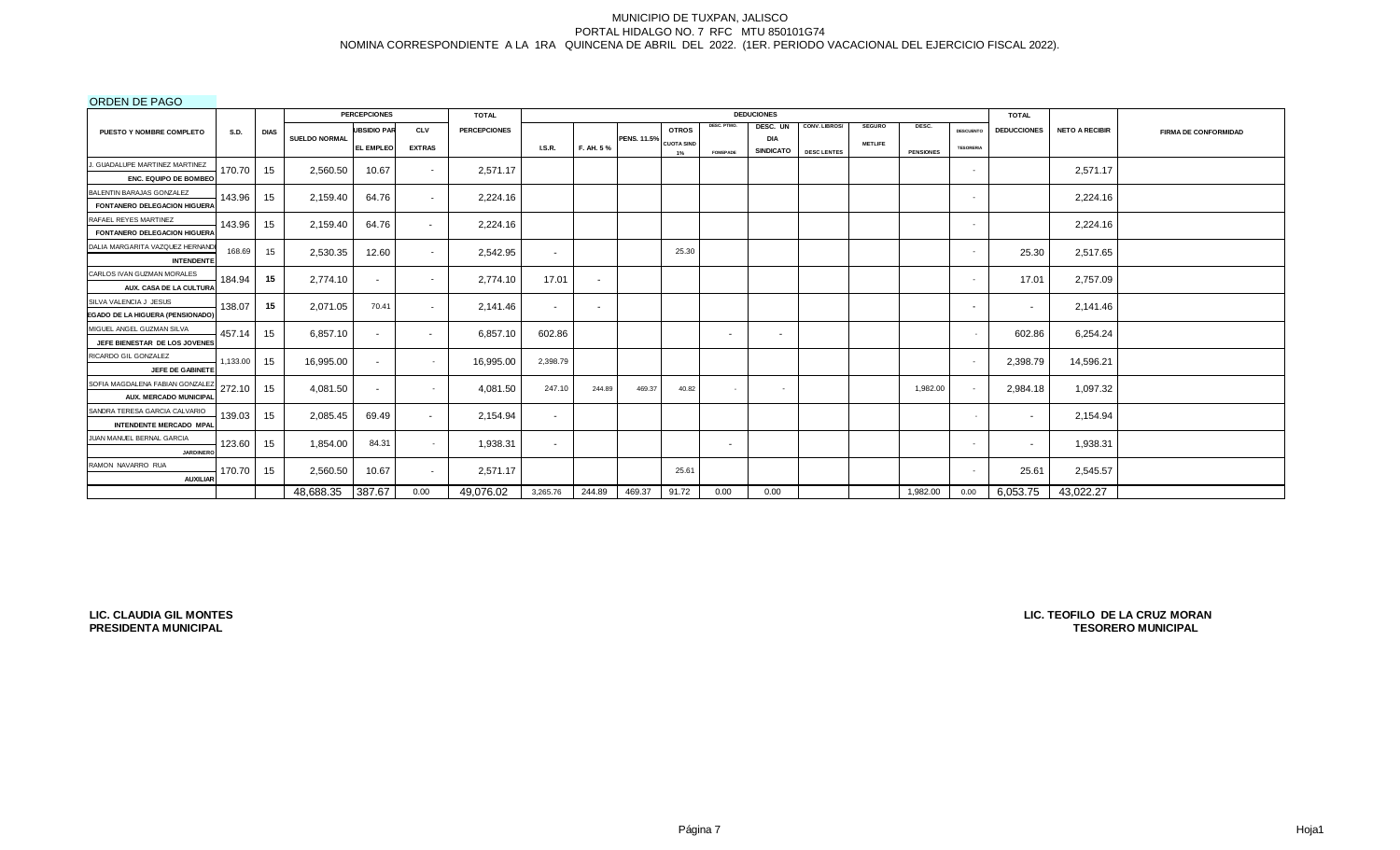ORDEN DE PAGO

| <b>ONDER DET AOU</b>                                    |             |             |                      | <b>PERCEPCIONES</b> |                          | <b>TOTAL</b>        |               |           |                    |                   |                 | <b>DEDUCIONES</b>       |                    |                |                  |                  | <b>TOTAL</b>       |                       |                             |
|---------------------------------------------------------|-------------|-------------|----------------------|---------------------|--------------------------|---------------------|---------------|-----------|--------------------|-------------------|-----------------|-------------------------|--------------------|----------------|------------------|------------------|--------------------|-----------------------|-----------------------------|
| PUESTO Y NOMBRE COMPLETO                                | <b>S.D.</b> | <b>DIAS</b> |                      | <b>UBSIDIO PAR</b>  | <b>CLV</b>               | <b>PERCEPCIONES</b> |               |           |                    | <b>OTROS</b>      | DESC. PTMO.     | DESC. UN                | CONV. LIBROS/      | <b>SEGURO</b>  | DESC.            | <b>DESCUENTO</b> | <b>DEDUCCIONES</b> | <b>NETO A RECIBIR</b> | <b>FIRMA DE CONFORMIDAD</b> |
|                                                         |             |             | <b>SUELDO NORMAL</b> | <b>EL EMPLEO</b>    | <b>EXTRAS</b>            |                     | <b>I.S.R.</b> | F. AH. 5% | <b>PENS. 11.5%</b> | <b>CUOTA SIND</b> |                 | DIA<br><b>SINDICATO</b> |                    | <b>METLIFE</b> |                  | <b>TESORERIA</b> |                    |                       |                             |
|                                                         |             |             |                      |                     |                          |                     |               |           |                    | 1%                | <b>FOMEPADE</b> |                         | <b>DESC LENTES</b> |                | <b>PENSIONES</b> |                  |                    |                       |                             |
| J. GUADALUPE MARTINEZ MARTINEZ<br>ENC. EQUIPO DE BOMBEO | 170.70      | 15          | 2,560.50             | 10.67               | $\overline{\phantom{a}}$ | 2,571.17            |               |           |                    |                   |                 |                         |                    |                |                  | <b>.</b>         |                    | 2.571.17              |                             |
| BALENTIN BARAJAS GONZALEZ                               |             |             |                      |                     |                          |                     |               |           |                    |                   |                 |                         |                    |                |                  |                  |                    |                       |                             |
| <b>FONTANERO DELEGACION HIGUERA</b>                     | 143.96      | 15          | 2,159.40             | 64.76               | $\overline{\phantom{a}}$ | 2,224.16            |               |           |                    |                   |                 |                         |                    |                |                  | <b>.</b>         |                    | 2,224.16              |                             |
| RAFAEL REYES MARTINEZ                                   |             |             |                      |                     |                          |                     |               |           |                    |                   |                 |                         |                    |                |                  |                  |                    |                       |                             |
| FONTANERO DELEGACION HIGUERA                            | 143.96      | 15          | 2,159.40             | 64.76               | $\sim$                   | 2,224.16            |               |           |                    |                   |                 |                         |                    |                |                  |                  |                    | 2,224.16              |                             |
| DALIA MARGARITA VAZQUEZ HERNAND                         |             |             |                      |                     |                          |                     |               |           |                    |                   |                 |                         |                    |                |                  |                  |                    |                       |                             |
| <b>INTENDENTE</b>                                       | 168.69      | 15          | 2,530.35             | 12.60               | $\overline{\phantom{a}}$ | 2,542.95            | $\sim$        |           |                    | 25.30             |                 |                         |                    |                |                  | <b>.</b>         | 25.30              | 2,517.65              |                             |
| CARLOS IVAN GUZMAN MORALES                              |             |             |                      |                     |                          |                     |               |           |                    |                   |                 |                         |                    |                |                  |                  |                    |                       |                             |
| AUX. CASA DE LA CULTURA                                 | 184.94      | 15          | 2,774.10             |                     |                          | 2,774.10            | 17.01         | $\sim$    |                    |                   |                 |                         |                    |                |                  |                  | 17.01              | 2,757.09              |                             |
| SILVA VALENCIA J JESUS                                  |             |             |                      |                     |                          |                     |               |           |                    |                   |                 |                         |                    |                |                  |                  |                    |                       |                             |
| EGADO DE LA HIGUERA (PENSIONADO)                        | 138.07      | 15          | 2.071.05             | 70.41               |                          | 2,141.46            | $\sim$        | $\sim$    |                    |                   |                 |                         |                    |                |                  | $\sim$           | $\sim$             | 2,141.46              |                             |
| MIGUEL ANGEL GUZMAN SILVA                               |             |             |                      |                     |                          |                     |               |           |                    |                   |                 |                         |                    |                |                  |                  |                    |                       |                             |
| JEFE BIENESTAR DE LOS JOVENES                           | 457.14      | 15          | 6.857.10             | $\sim$              | $\sim$                   | 6,857.10            | 602.86        |           |                    |                   | $\sim$          | $\sim$                  |                    |                |                  |                  | 602.86             | 6,254.24              |                             |
| RICARDO GIL GONZALEZ                                    | 1,133.00    |             |                      |                     |                          |                     | 2,398.79      |           |                    |                   |                 |                         |                    |                |                  | $\sim$           |                    |                       |                             |
| JEFE DE GABINETE                                        |             | 15          | 16,995.00            | $\sim$              |                          | 16,995.00           |               |           |                    |                   |                 |                         |                    |                |                  |                  | 2,398.79           | 14,596.21             |                             |
| SOFIA MAGDALENA FABIAN GONZALEZ                         | 272.10      | 15          | 4.081.50             |                     |                          | 4,081.50            | 247.10        | 244.89    | 469.37             | 40.82             |                 | $\sim$                  |                    |                | 1,982.00         |                  | 2,984.18           | 1,097.32              |                             |
| AUX. MERCADO MUNICIPAL                                  |             |             |                      |                     |                          |                     |               |           |                    |                   |                 |                         |                    |                |                  |                  |                    |                       |                             |
| SANDRA TERESA GARCIA CALVARIO                           | 139.03      | 15          | 2,085.45             | 69.49               | $\sim$                   | 2,154.94            | $\sim$        |           |                    |                   |                 |                         |                    |                |                  |                  | $\sim$             | 2,154.94              |                             |
| <b>INTENDENTE MERCADO MPAL</b>                          |             |             |                      |                     |                          |                     |               |           |                    |                   |                 |                         |                    |                |                  |                  |                    |                       |                             |
| JUAN MANUEL BERNAL GARCIA                               | 123.60      | 15          | 1,854.00             | 84.31               | $\sim$                   | 1,938.31            | $\sim$        |           |                    |                   | $\sim$          |                         |                    |                |                  | $\sim$           | $\sim$             | 1,938.31              |                             |
| <b>JARDINERC</b>                                        |             |             |                      |                     |                          |                     |               |           |                    |                   |                 |                         |                    |                |                  |                  |                    |                       |                             |
| RAMON NAVARRO RUA                                       | 170.70      | 15          | 2,560.50             | 10.67               |                          | 2,571.17            |               |           |                    | 25.61             |                 |                         |                    |                |                  | - 1              | 25.61              | 2,545.57              |                             |
| <b>AUXILIAR</b>                                         |             |             |                      |                     |                          |                     |               |           |                    |                   |                 |                         |                    |                |                  |                  |                    |                       |                             |
|                                                         |             |             | 48,688.35            | 387.67              | 0.00                     | 49,076.02           | 3,265.76      | 244.89    | 469.37             | 91.72             | 0.00            | 0.00                    |                    |                | 1,982.00         | 0.00             | 6,053.75           | 43,022.27             |                             |

**LIC. CLAUDIA GIL MONTES PRESIDENTA MUNICIPAL**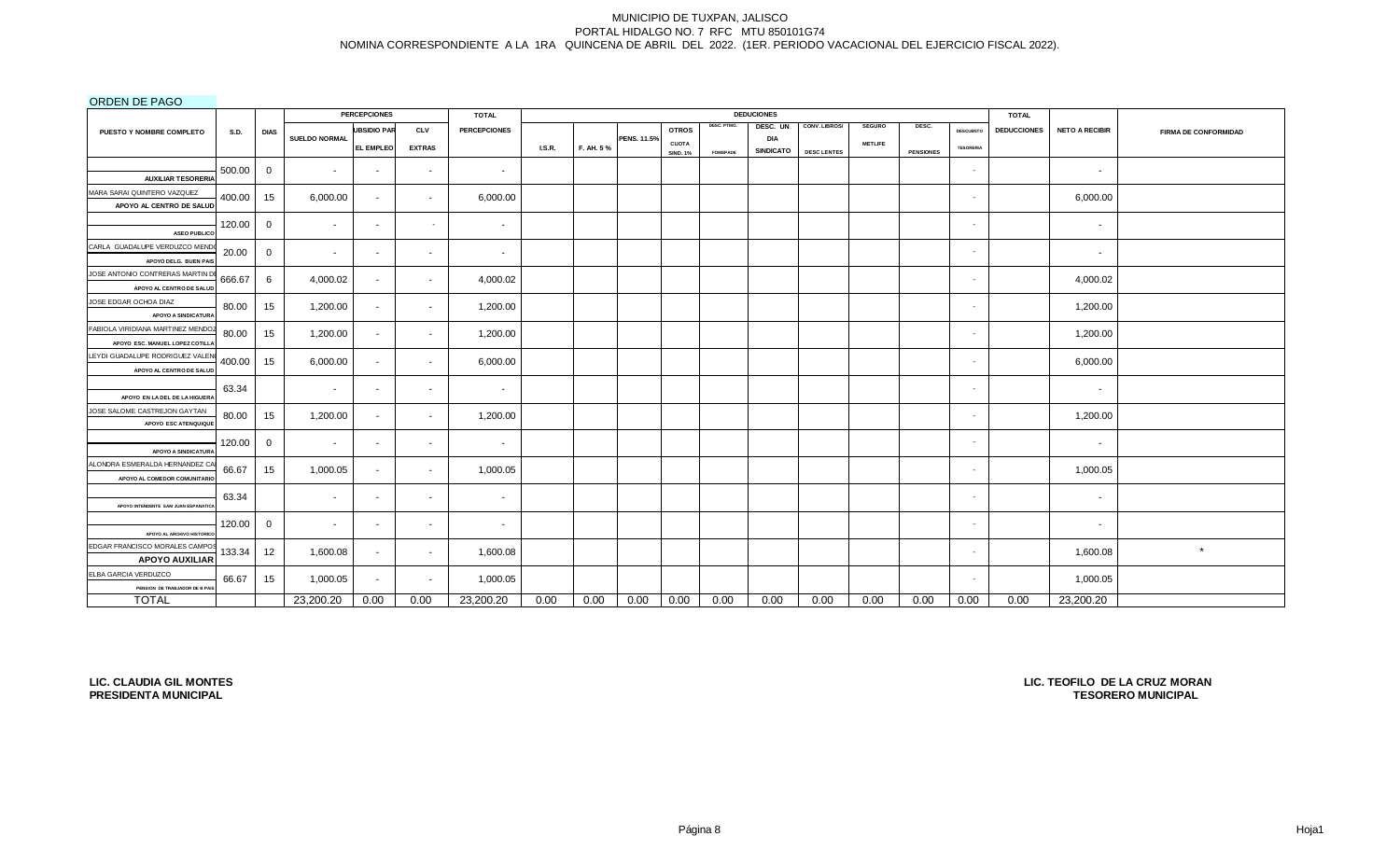ORDEN DE PAGO

| <b>OIVDEN DET AOO</b>                                         |        |                  |                          | <b>PERCEPCIONES</b>      |               | <b>TOTAL</b>        |       |           |             |                 |                 | <b>DEDUCIONES</b> |                    |                |                  |                  | <b>TOTAL</b>       |                          |                             |
|---------------------------------------------------------------|--------|------------------|--------------------------|--------------------------|---------------|---------------------|-------|-----------|-------------|-----------------|-----------------|-------------------|--------------------|----------------|------------------|------------------|--------------------|--------------------------|-----------------------------|
| PUESTO Y NOMBRE COMPLETO                                      | S.D.   | <b>DIAS</b>      |                          | <b>UBSIDIO PAR</b>       | <b>CLV</b>    | <b>PERCEPCIONES</b> |       |           |             | <b>OTROS</b>    | DESC. PTMO.     | DESC. UN          | CONV. LIBROS/      | <b>SEGURO</b>  | DESC.            | DESCUENTO        | <b>DEDUCCIONES</b> | <b>NETO A RECIBIR</b>    | <b>FIRMA DE CONFORMIDAD</b> |
|                                                               |        |                  | <b>SUELDO NORMAL</b>     | <b>EL EMPLEO</b>         | <b>EXTRAS</b> |                     | LS.R. | F. AH. 5% | PENS. 11.5% | <b>CUOTA</b>    |                 | <b>DIA</b>        |                    | <b>METLIFE</b> |                  | <b>TESORERIA</b> |                    |                          |                             |
|                                                               |        |                  |                          |                          |               |                     |       |           |             | <b>SIND. 1%</b> | <b>FOMEPADE</b> | <b>SINDICATO</b>  | <b>DESC LENTES</b> |                | <b>PENSIONES</b> |                  |                    |                          |                             |
|                                                               | 500.00 | $\mathbf 0$      | $\sim$                   | $\sim$                   | $\sim$        | $\sim$              |       |           |             |                 |                 |                   |                    |                |                  | $\sim$           |                    | $\sim$                   |                             |
| <b>AUXILIAR TESORERIA</b><br>MARA SARAI QUINTERO VAZQUEZ      |        |                  |                          |                          |               |                     |       |           |             |                 |                 |                   |                    |                |                  |                  |                    |                          |                             |
| APOYO AL CENTRO DE SALUD                                      | 400.00 | 15               | 6,000.00                 | $\sim$                   | $\sim$        | 6,000.00            |       |           |             |                 |                 |                   |                    |                |                  | $\sim$           |                    | 6,000.00                 |                             |
|                                                               |        |                  |                          |                          |               |                     |       |           |             |                 |                 |                   |                    |                |                  |                  |                    |                          |                             |
| <b>ASEO PUBLICO</b>                                           | 120.00 | $\mathbf 0$      | $\overline{\phantom{a}}$ | $\sim$                   | $\sim$        | $\sim$              |       |           |             |                 |                 |                   |                    |                |                  | $\sim$           |                    | $\sim$                   |                             |
| CARLA GUADALUPE VERDUZCO MEND                                 | 20.00  |                  |                          |                          |               |                     |       |           |             |                 |                 |                   |                    |                |                  | $\sim$           |                    |                          |                             |
| APOYO DELG. BUEN PAIS                                         |        | $\mathbf 0$      | $\overline{\phantom{a}}$ | $\overline{\phantom{a}}$ | $\sim$        | $\sim$              |       |           |             |                 |                 |                   |                    |                |                  |                  |                    | $\overline{\phantom{a}}$ |                             |
| JOSE ANTONIO CONTRERAS MARTIN D                               | 666.67 | 6                | 4,000.02                 | $\sim$                   | $\sim$        | 4,000.02            |       |           |             |                 |                 |                   |                    |                |                  | $\sim$           |                    | 4,000.02                 |                             |
| APOYO AL CENTRO DE SALUI                                      |        |                  |                          |                          |               |                     |       |           |             |                 |                 |                   |                    |                |                  |                  |                    |                          |                             |
| JOSE EDGAR OCHOA DIAZ                                         | 80.00  | 15 <sub>15</sub> | 1,200.00                 | $\sim$                   | $\sim$        | 1,200.00            |       |           |             |                 |                 |                   |                    |                |                  | $\sim$           |                    | 1,200.00                 |                             |
| APOYO A SINDICATURA                                           |        |                  |                          |                          |               |                     |       |           |             |                 |                 |                   |                    |                |                  |                  |                    |                          |                             |
| FABIOLA VIRIDIANA MARTINEZ MENDO                              | 80.00  | 15               | 1,200.00                 | $\sim$                   | $\sim$        | 1,200.00            |       |           |             |                 |                 |                   |                    |                |                  | $\sim$           |                    | 1,200.00                 |                             |
| APOYO ESC. MANUEL LOPEZ COTILL                                |        |                  |                          |                          |               |                     |       |           |             |                 |                 |                   |                    |                |                  |                  |                    |                          |                             |
| LEYDI GUADALUPE RODRIGUEZ VALE                                | 400.00 | 15               | 6,000.00                 | $\sim$                   | $\sim$        | 6,000.00            |       |           |             |                 |                 |                   |                    |                |                  | $\sim$           |                    | 6,000.00                 |                             |
| APOYO AL CENTRO DE SALUD                                      |        |                  |                          |                          |               |                     |       |           |             |                 |                 |                   |                    |                |                  |                  |                    |                          |                             |
| APOYO EN LA DEL DE LA HIGUERA                                 | 63.34  |                  | $\overline{\phantom{a}}$ | $\sim$                   | $\sim$        | $\sim$              |       |           |             |                 |                 |                   |                    |                |                  | ٠                |                    | $\sim$                   |                             |
| JOSE SALOME CASTREJON GAYTAN                                  | 80.00  | 15               | 1,200.00                 | $\sim$                   | $\sim$        | 1,200.00            |       |           |             |                 |                 |                   |                    |                |                  | $\sim$           |                    | 1,200.00                 |                             |
| APOYO ESC ATENQUIQUI                                          |        |                  |                          |                          |               |                     |       |           |             |                 |                 |                   |                    |                |                  |                  |                    |                          |                             |
|                                                               | 120.00 | $\mathbf{0}$     | $\overline{\phantom{a}}$ | $\sim$                   | $\sim$        | $\sim$              |       |           |             |                 |                 |                   |                    |                |                  | $\sim$           |                    | $\sim$                   |                             |
| APOYO A SINDICATUR.                                           |        |                  |                          |                          |               |                     |       |           |             |                 |                 |                   |                    |                |                  |                  |                    |                          |                             |
| ALONDRA ESMERALDA HERNANDEZ C<br>APOYO AL COMEDOR COMUNITARIO | 66.67  | 15               | 1,000.05                 | $\sim$                   | $\sim$        | 1,000.05            |       |           |             |                 |                 |                   |                    |                |                  | $\sim$           |                    | 1,000.05                 |                             |
|                                                               |        |                  |                          |                          |               |                     |       |           |             |                 |                 |                   |                    |                |                  |                  |                    |                          |                             |
| APOYO INTENDENTE SAM JUAN ESPANATIC                           | 63.34  |                  | $\overline{\phantom{a}}$ | $\sim$                   | $\sim$        | $\sim$              |       |           |             |                 |                 |                   |                    |                |                  | $\sim$           |                    | $\sim$                   |                             |
|                                                               | 120.00 |                  | $\sim$                   | $\sim$                   | $\sim$        | $\sim$              |       |           |             |                 |                 |                   |                    |                |                  | $\sim$           |                    |                          |                             |
| APOYO AL ARCHIVO HISTORIC                                     |        | $\mathbf{0}$     |                          |                          |               |                     |       |           |             |                 |                 |                   |                    |                |                  |                  |                    | $\sim$                   |                             |
| EDGAR FRANCISCO MORALES CAMPO                                 | 133.34 | 12               | 1,600.08                 | $\sim$                   | $\sim$        | 1,600.08            |       |           |             |                 |                 |                   |                    |                |                  | $\sim$           |                    | 1,600.08                 | $\star$                     |
| <b>APOYO AUXILIAR</b>                                         |        |                  |                          |                          |               |                     |       |           |             |                 |                 |                   |                    |                |                  |                  |                    |                          |                             |
| ELBA GARCIA VERDUZCO                                          | 66.67  | 15               | 1,000.05                 | $\sim$                   | $\sim$        | 1,000.05            |       |           |             |                 |                 |                   |                    |                |                  | $\sim$           |                    | 1,000.05                 |                             |
| PENSION DE TRABJADOR DE B PA                                  |        |                  |                          |                          |               |                     |       |           |             |                 |                 |                   |                    |                |                  |                  |                    |                          |                             |
| <b>TOTAL</b>                                                  |        |                  | 23,200.20                | 0.00                     | 0.00          | 23,200.20           | 0.00  | 0.00      | 0.00        | 0.00            | 0.00            | 0.00              | 0.00               | 0.00           | 0.00             | 0.00             | 0.00               | 23,200.20                |                             |

**LIC. CLAUDIA GIL MONTES PRESIDENTA MUNICIPAL**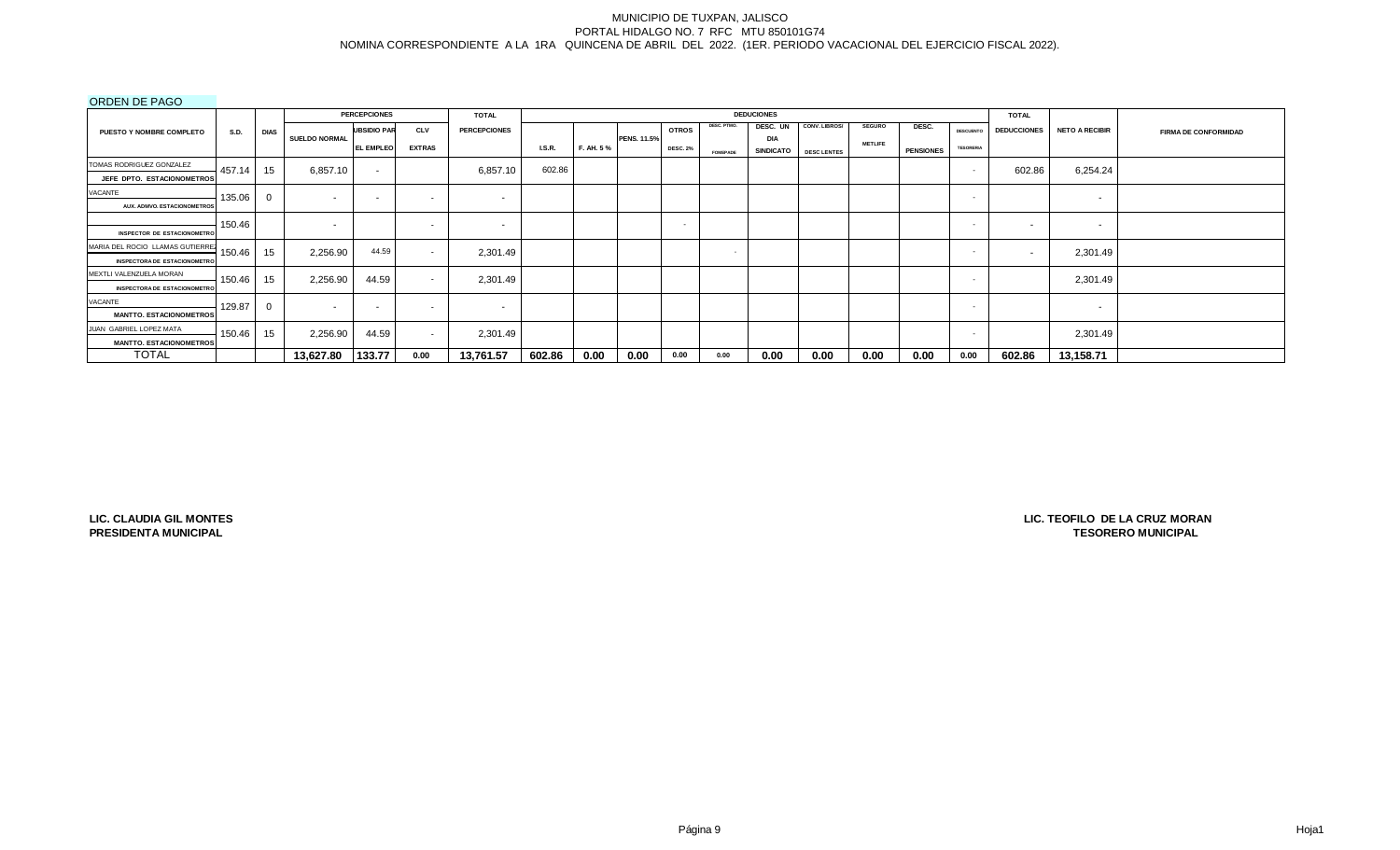ORDEN DE PAGO

| $0.0001$ $0.0000$                                                       |             |             |                      | <b>PERCEPCIONES</b> |                          | <b>TOTAL</b>        |               |            |                    |                 |                 | <b>DEDUCIONES</b>       |                    |                |                  |                          | <b>TOTAL</b>       |                          |                             |
|-------------------------------------------------------------------------|-------------|-------------|----------------------|---------------------|--------------------------|---------------------|---------------|------------|--------------------|-----------------|-----------------|-------------------------|--------------------|----------------|------------------|--------------------------|--------------------|--------------------------|-----------------------------|
| PUESTO Y NOMBRE COMPLETO                                                | <b>S.D.</b> | <b>DIAS</b> |                      | <b>UBSIDIO PAR</b>  | <b>CLV</b>               | <b>PERCEPCIONES</b> |               |            |                    | <b>OTROS</b>    | DESC. PTMO.     | DESC. UN                | CONV. LIBROS/      | <b>SEGURO</b>  | DESC.            | <b>DESCUENTO</b>         | <b>DEDUCCIONES</b> | <b>NETO A RECIBIR</b>    | <b>FIRMA DE CONFORMIDAD</b> |
|                                                                         |             |             | <b>SUELDO NORMAL</b> | <b>EL EMPLEO</b>    | <b>EXTRAS</b>            |                     | <b>I.S.R.</b> | F. AH. 5 % | <b>PENS. 11.5%</b> | <b>DESC. 2%</b> | <b>FOMEPADE</b> | DIA<br><b>SINDICATO</b> | <b>DESC LENTES</b> | <b>METLIFE</b> | <b>PENSIONES</b> | <b>TESORERIA</b>         |                    |                          |                             |
| TOMAS RODRIGUEZ GONZALEZ                                                | 457.14      | 15          | 6,857.10             | $\sim$              |                          | 6,857.10            | 602.86        |            |                    |                 |                 |                         |                    |                |                  |                          | 602.86             | 6,254.24                 |                             |
| JEFE DPTO. ESTACIONOMETROS                                              |             |             |                      |                     |                          |                     |               |            |                    |                 |                 |                         |                    |                |                  |                          |                    |                          |                             |
| VACANTE                                                                 | 135.06      |             | $\sim$               |                     | $\overline{\phantom{a}}$ | $\sim$              |               |            |                    |                 |                 |                         |                    |                |                  |                          |                    | $\sim$                   |                             |
| AUX, ADMVO, ESTACIONOMETROS                                             |             |             |                      |                     |                          |                     |               |            |                    |                 |                 |                         |                    |                |                  |                          |                    |                          |                             |
| <b>INSPECTOR DE ESTACIONOMETRO</b>                                      | 150.46      |             | $\sim$               |                     | $\overline{\phantom{a}}$ | $\sim$              |               |            |                    | $\sim$          |                 |                         |                    |                |                  | $\sim$                   | $\sim$             | $\sim$                   |                             |
| MARIA DEL ROCIO LLAMAS GUTIERREZ<br><b>INSPECTORA DE ESTACIONOMETRO</b> | 150.46      | 15          | 2,256.90             | 44.59               | $\overline{\phantom{a}}$ | 2,301.49            |               |            |                    |                 | $\sim$          |                         |                    |                |                  | <b>COL</b>               | $\sim$             | 2,301.49                 |                             |
| MEXTLI VALENZUELA MORAN<br><b>INSPECTORA DE ESTACIONOMETRO</b>          | 150.46      | 15          | 2,256.90             | 44.59               | $\overline{\phantom{a}}$ | 2,301.49            |               |            |                    |                 |                 |                         |                    |                |                  |                          |                    | 2,301.49                 |                             |
| VACANTE<br><b>MANTTO. ESTACIONOMETROS</b>                               | 129.87      |             |                      |                     | $\overline{\phantom{0}}$ | $\sim$              |               |            |                    |                 |                 |                         |                    |                |                  | $\overline{\phantom{a}}$ |                    | $\overline{\phantom{a}}$ |                             |
| JUAN GABRIEL LOPEZ MATA<br><b>MANTTO. ESTACIONOMETROS</b>               | 150.46      | 15          | 2,256.90             | 44.59               | $\sim$                   | 2,301.49            |               |            |                    |                 |                 |                         |                    |                |                  | . .                      |                    | 2,301.49                 |                             |
| <b>TOTAL</b>                                                            |             |             | 13,627.80            | 133.77              | 0.00                     | 13,761.57           | 602.86        | 0.00       | 0.00               | 0.00            | 0.00            | 0.00                    | 0.00               | 0.00           | 0.00             | 0.00                     | 602.86             | 13,158.71                |                             |

**LIC. CLAUDIA GIL MONTES PRESIDENTA MUNICIPAL**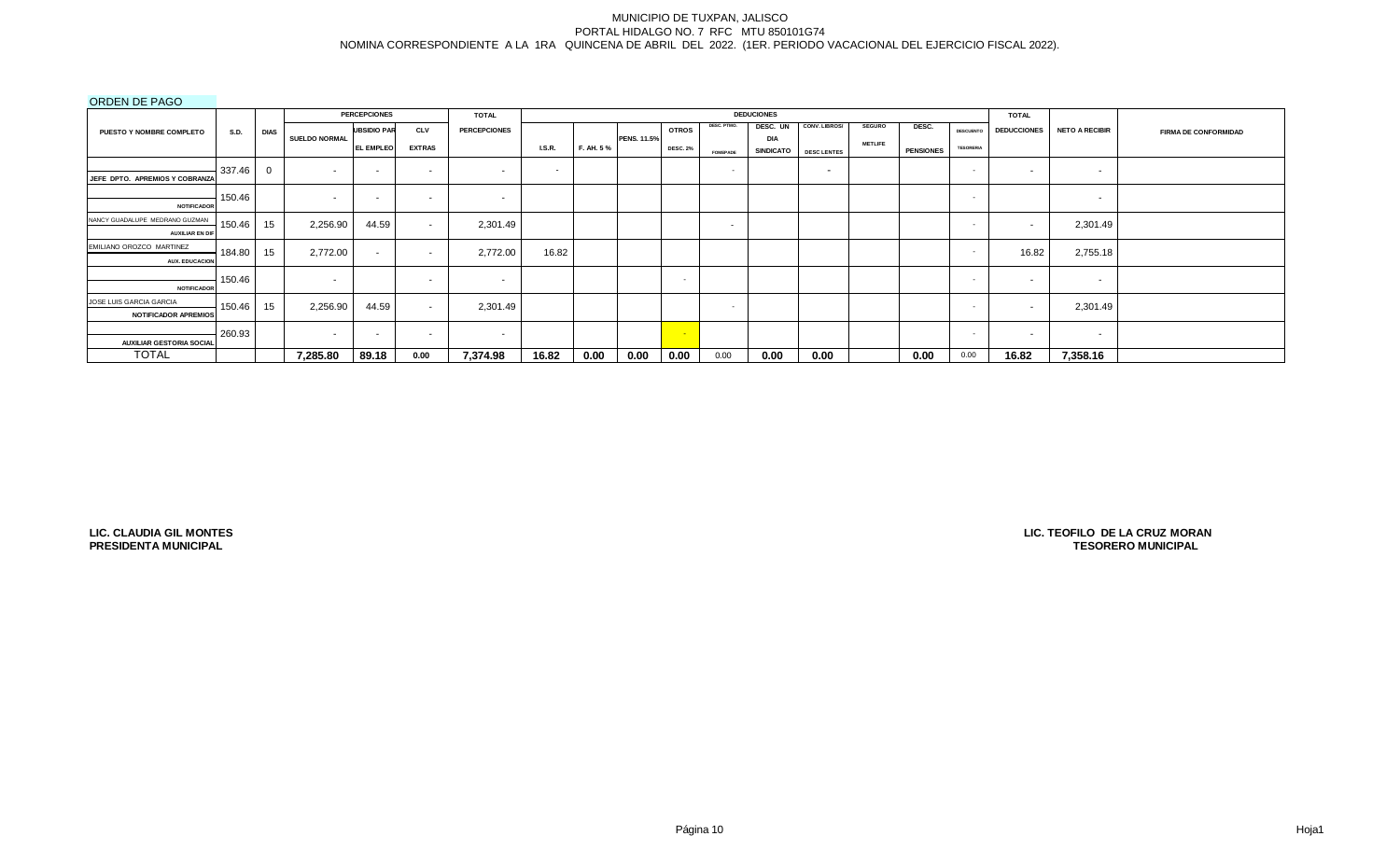ORDEN DE PAGO

|                                                          |             |             |               | <b>PERCEPCIONES</b> |               | <b>TOTAL</b>        |                          |           |                    |                 |                          | <b>DEDUCIONES</b>       |                          |                |                  |                  | <b>TOTAL</b>             |                       |                             |
|----------------------------------------------------------|-------------|-------------|---------------|---------------------|---------------|---------------------|--------------------------|-----------|--------------------|-----------------|--------------------------|-------------------------|--------------------------|----------------|------------------|------------------|--------------------------|-----------------------|-----------------------------|
| PUESTO Y NOMBRE COMPLETO                                 | <b>S.D.</b> | <b>DIAS</b> |               | <b>UBSIDIO PAR</b>  | <b>CLV</b>    | <b>PERCEPCIONES</b> |                          |           |                    | <b>OTROS</b>    | DESC. PTMO.              | DESC. UN                | CONV. LIBROS/            | <b>SEGURO</b>  | DESC.            | <b>DESCUENTO</b> | <b>DEDUCCIONES</b>       | <b>NETO A RECIBIR</b> | <b>FIRMA DE CONFORMIDAD</b> |
|                                                          |             |             | SUELDO NORMAL | <b>EL EMPLEO</b>    | <b>EXTRAS</b> |                     | <b>I.S.R.</b>            | F. AH. 5% | <b>PENS. 11.5%</b> | <b>DESC. 2%</b> | <b>FOMEPADE</b>          | DIA<br><b>SINDICATO</b> | <b>DESC LENTES</b>       | <b>METLIFE</b> | <b>PENSIONES</b> | <b>TESORERIA</b> |                          |                       |                             |
|                                                          | 337.46      |             | . .           |                     | $\sim$        | $\sim$              | $\overline{\phantom{0}}$ |           |                    |                 | $\overline{\phantom{a}}$ |                         | $\overline{\phantom{a}}$ |                |                  | <b>COL</b>       | $\sim$                   | $\sim$                |                             |
| JEFE DPTO. APREMIOS Y COBRANZA                           |             |             |               |                     |               |                     |                          |           |                    |                 |                          |                         |                          |                |                  |                  |                          |                       |                             |
| <b>NOTIFICADOR</b>                                       | 150.46      |             | . .           |                     | $\sim$        | $\sim$              |                          |           |                    |                 |                          |                         |                          |                |                  | <b>COL</b>       |                          | $\sim$                |                             |
| NANCY GUADALUPE MEDRANO GUZMAN<br><b>AUXILIAR EN DIF</b> | 150.46      | 15          | 2,256.90      | 44.59               | $\sim$        | 2,301.49            |                          |           |                    |                 | $\sim$                   |                         |                          |                |                  | $\sim$           | $\overline{\phantom{a}}$ | 2,301.49              |                             |
| EMILIANO OROZCO MARTINEZ<br><b>AUX. EDUCACION</b>        | 184.80      | 15          | 2,772.00      | $\sim$              | $\sim$        | 2,772.00            | 16.82                    |           |                    |                 |                          |                         |                          |                |                  |                  | 16.82                    | 2,755.18              |                             |
| <b>NOTIFICADOR</b>                                       | 150.46      |             | . .           |                     | $\sim$        | $\sim$              |                          |           |                    | $\sim$          |                          |                         |                          |                |                  | $\sim$           | $\sim$                   | $\sim$                |                             |
| JOSE LUIS GARCIA GARCIA<br><b>NOTIFICADOR APREMIOS</b>   | 150.46      | 15          | 2,256.90      | 44.59               | $\sim$        | 2,301.49            |                          |           |                    |                 | $\sim$                   |                         |                          |                |                  | $\sim$           | $\overline{\phantom{a}}$ | 2,301.49              |                             |
| <b>AUXILIAR GESTORIA SOCIAL</b>                          | 260.93      |             | $\sim$        |                     | $\sim$        | $\sim$              |                          |           |                    | - 1             |                          |                         |                          |                |                  | $\sim$           | $\sim$                   | $\sim$                |                             |
| <b>TOTAL</b>                                             |             |             | 7,285.80      | 89.18               | 0.00          | 7,374.98            | 16.82                    | 0.00      | 0.00               | 0.00            | 0.00                     | 0.00                    | 0.00                     |                | 0.00             | 0.00             | 16.82                    | 7,358.16              |                             |

**LIC. CLAUDIA GIL MONTES PRESIDENTA MUNICIPAL**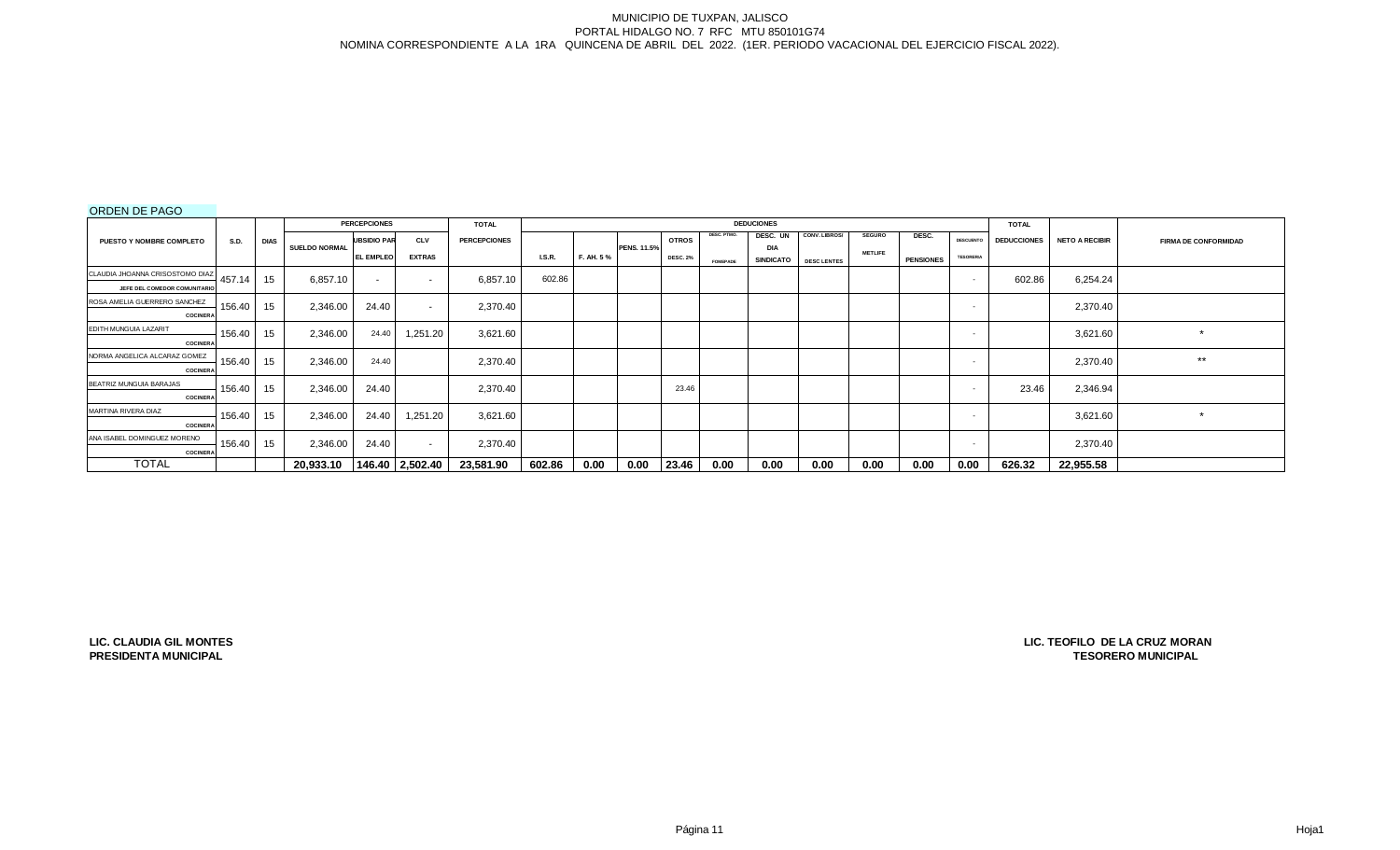# ORDEN DE PAGO

|                                 |             |             |                      | <b>PERCEPCIONES</b> |                 | <b>TOTAL</b>        |               |            |                    |                 |                 | <b>DEDUCIONES</b>              |                    |                |                  |                  | <b>TOTAL</b>       |                       |                             |
|---------------------------------|-------------|-------------|----------------------|---------------------|-----------------|---------------------|---------------|------------|--------------------|-----------------|-----------------|--------------------------------|--------------------|----------------|------------------|------------------|--------------------|-----------------------|-----------------------------|
| <b>PUESTO Y NOMBRE COMPLETO</b> | <b>S.D.</b> | <b>DIAS</b> |                      | <b>UBSIDIO PAR</b>  | <b>CLV</b>      | <b>PERCEPCIONES</b> |               |            |                    | <b>OTROS</b>    | DESC. PTMO.     | DESC. UN                       | CONV. LIBROS/      | <b>SEGURO</b>  | DESC.            | <b>DESCUENTO</b> | <b>DEDUCCIONES</b> | <b>NETO A RECIBIR</b> | <b>FIRMA DE CONFORMIDAD</b> |
|                                 |             |             | <b>SUELDO NORMAL</b> | <b>L EMPLEO</b>     | <b>EXTRAS</b>   |                     | <b>I.S.R.</b> | F. AH. 5 % | <b>PENS. 11.5%</b> | <b>DESC. 2%</b> | <b>FOMEPADE</b> | <b>DIA</b><br><b>SINDICATO</b> | <b>DESC LENTES</b> | <b>METLIFE</b> | <b>PENSIONES</b> | <b>TESORERIA</b> |                    |                       |                             |
| CLAUDIA JHOANNA CRISOSTOMO DIAZ | 457.14      | 15          |                      |                     |                 |                     | 602.86        |            |                    |                 |                 |                                |                    |                |                  |                  |                    |                       |                             |
| JEFE DEL COMEDOR COMUNITARIO    |             |             | 6,857.10             | $\sim$              | $\sim$          | 6,857.10            |               |            |                    |                 |                 |                                |                    |                |                  |                  | 602.86             | 6,254.24              |                             |
| ROSA AMELIA GUERRERO SANCHEZ    | 156.40      | 15          | 2,346.00             | 24.40               | $\sim$          | 2,370.40            |               |            |                    |                 |                 |                                |                    |                |                  |                  |                    | 2,370.40              |                             |
| <b>COCINERA</b>                 |             |             |                      |                     |                 |                     |               |            |                    |                 |                 |                                |                    |                |                  |                  |                    |                       |                             |
| EDITH MUNGUIA LAZARIT           | 156.40      | 15          | 2,346.00             | 24.40               | 1,251.20        | 3,621.60            |               |            |                    |                 |                 |                                |                    |                |                  | $\sim$           |                    | 3,621.60              | $\star$                     |
| <b>COCINERA</b>                 |             |             |                      |                     |                 |                     |               |            |                    |                 |                 |                                |                    |                |                  |                  |                    |                       |                             |
| NORMA ANGELICA ALCARAZ GOMEZ    | 156.40      | 15          | 2,346.00             | 24.40               |                 | 2,370.40            |               |            |                    |                 |                 |                                |                    |                |                  |                  |                    | 2,370.40              | $***$                       |
| <b>COCINERA</b>                 |             |             |                      |                     |                 |                     |               |            |                    |                 |                 |                                |                    |                |                  |                  |                    |                       |                             |
| BEATRIZ MUNGUIA BARAJAS         | 156.40      | 15          | 2,346.00             | 24.40               |                 | 2,370.40            |               |            |                    | 23.46           |                 |                                |                    |                |                  | . .              | 23.46              | 2,346.94              |                             |
| <b>COCINERA</b>                 |             |             |                      |                     |                 |                     |               |            |                    |                 |                 |                                |                    |                |                  |                  |                    |                       |                             |
| MARTINA RIVERA DIAZ             | 156.40      | 15          | 2,346.00             | 24.40               | 1,251.20        | 3,621.60            |               |            |                    |                 |                 |                                |                    |                |                  |                  |                    | 3,621.60              | $\star$                     |
| <b>COCINERA</b>                 |             |             |                      |                     |                 |                     |               |            |                    |                 |                 |                                |                    |                |                  |                  |                    |                       |                             |
| ANA ISABEL DOMINGUEZ MORENO     | 156.40      | 15          | 2,346.00             | 24.40               | $\sim$          | 2,370.40            |               |            |                    |                 |                 |                                |                    |                |                  | $\sim$           |                    | 2,370.40              |                             |
| <b>COCINERA</b>                 |             |             |                      |                     |                 |                     |               |            |                    |                 |                 |                                |                    |                |                  |                  |                    |                       |                             |
| <b>TOTAL</b>                    |             |             | 20,933.10            |                     | 146.40 2,502.40 | 23,581.90           | 602.86        | 0.00       | 0.00               | 23.46           | 0.00            | 0.00                           | 0.00               | 0.00           | 0.00             | 0.00             | 626.32             | 22,955.58             |                             |

**LIC. CLAUDIA GIL MONTES PRESIDENTA MUNICIPAL**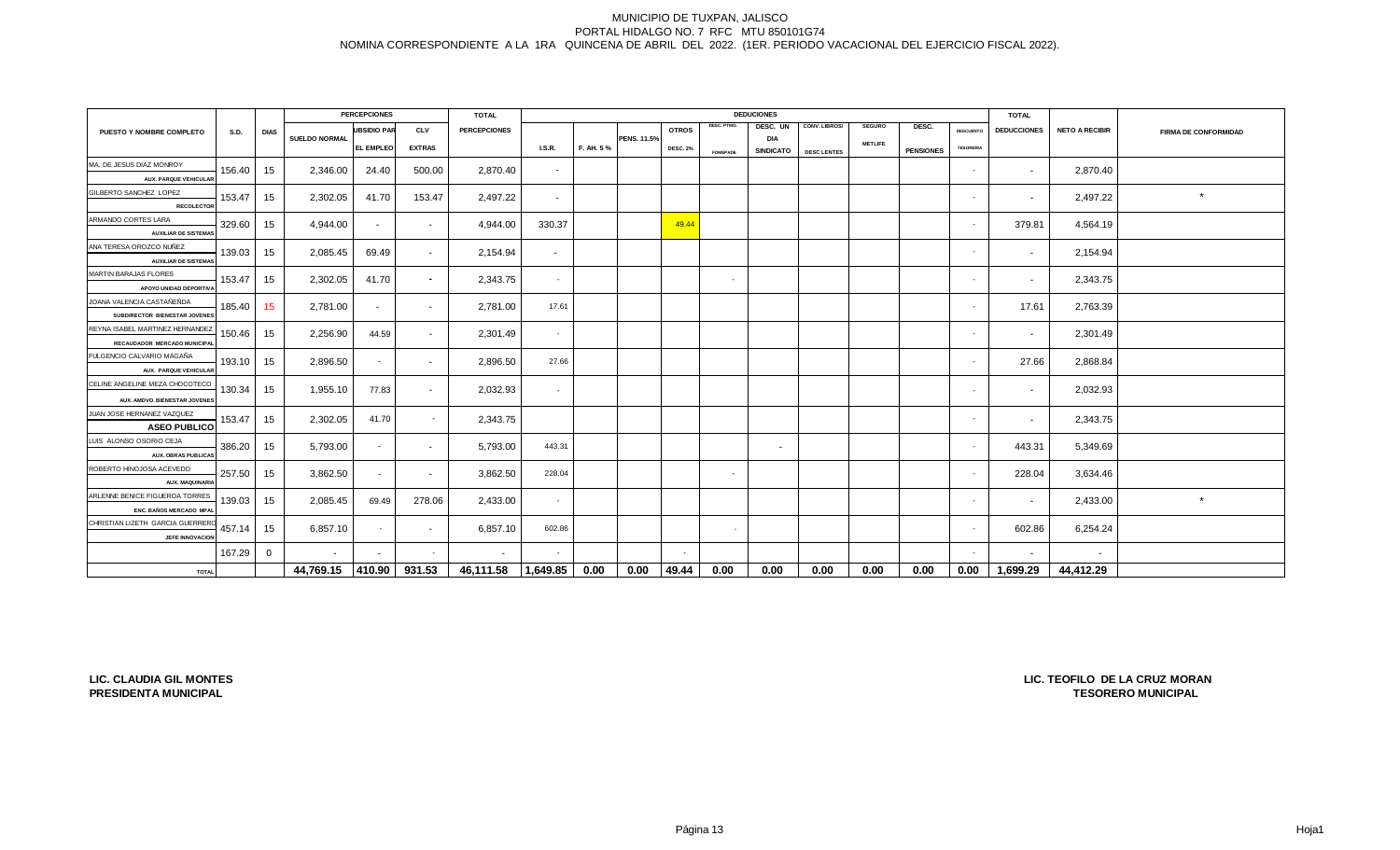|                                          |        |                 |                      | <b>PERCEPCIONES</b> |                          | <b>TOTAL</b>        |               |           |             |                 |                 | <b>DEDUCIONES</b> |                    |                |                  |                  | <b>TOTAL</b>       |                       |                             |
|------------------------------------------|--------|-----------------|----------------------|---------------------|--------------------------|---------------------|---------------|-----------|-------------|-----------------|-----------------|-------------------|--------------------|----------------|------------------|------------------|--------------------|-----------------------|-----------------------------|
| PUESTO Y NOMBRE COMPLETO                 | S.D.   | <b>DIAS</b>     |                      | <b>UBSIDIO PAR</b>  | <b>CLV</b>               | <b>PERCEPCIONES</b> |               |           |             | <b>OTROS</b>    | DESC. PTMO.     | DESC. UN          | CONV. LIBROS/      | <b>SEGURO</b>  | DESC.            | <b>DESCUENTO</b> | <b>DEDUCCIONES</b> | <b>NETO A RECIBIR</b> | <b>FIRMA DE CONFORMIDAD</b> |
|                                          |        |                 | <b>SUELDO NORMAL</b> | <b>EL EMPLEO</b>    | <b>EXTRAS</b>            |                     | <b>I.S.R.</b> | F. AH. 5% | PENS. 11.5% | <b>DESC. 2%</b> |                 | <b>DIA</b>        |                    | <b>METLIFE</b> |                  | <b>TESORERIA</b> |                    |                       |                             |
|                                          |        |                 |                      |                     |                          |                     |               |           |             |                 | <b>FOMEPADE</b> | <b>SINDICATO</b>  | <b>DESC LENTES</b> |                | <b>PENSIONES</b> |                  |                    |                       |                             |
| MA. DE JESUS DIAZ MONROY                 | 156.40 | 15              | 2,346.00             | 24.40               | 500.00                   | 2,870.40            | $\sim$        |           |             |                 |                 |                   |                    |                |                  | $\sim$           | $\sim$             | 2,870.40              |                             |
| <b>AUX. PARQUE VEHICULAI</b>             |        |                 |                      |                     |                          |                     |               |           |             |                 |                 |                   |                    |                |                  |                  |                    |                       |                             |
| GILBERTO SANCHEZ LOPEZ                   | 153.47 | 15              | 2,302.05             | 41.70               | 153.47                   | 2,497.22            | $\sim$        |           |             |                 |                 |                   |                    |                |                  | $\sim$           | $\sim$             | 2,497.22              | $\star$                     |
| <b>RECOLECTOR</b><br>ARMANDO CORTES LARA |        |                 |                      |                     |                          |                     |               |           |             |                 |                 |                   |                    |                |                  |                  |                    |                       |                             |
| <b>AUXILIAR DE SISTEMAS</b>              | 329.60 | 15              | 4,944.00             | $\sim$              | $\sim$                   | 4,944.00            | 330.37        |           |             | 49.44           |                 |                   |                    |                |                  | $\sim$           | 379.81             | 4,564.19              |                             |
| ANA TERESA OROZCO NUÑEZ                  |        |                 |                      |                     |                          |                     |               |           |             |                 |                 |                   |                    |                |                  |                  |                    |                       |                             |
| <b>AUXILIAR DE SISTEMAS</b>              | 139.03 | 15              | 2,085.45             | 69.49               | $\sim$                   | 2,154.94            | $\sim$        |           |             |                 |                 |                   |                    |                |                  | $\sim$           |                    | 2,154.94              |                             |
| MARTIN BARAJAS FLORES                    |        |                 |                      |                     |                          |                     |               |           |             |                 |                 |                   |                    |                |                  |                  |                    |                       |                             |
| APOYO UNIDAD DEPORTIV.                   | 153.47 | 15              | 2,302.05             | 41.70               | $\sim$                   | 2,343.75            | $\sim$        |           |             |                 | $\sim$          |                   |                    |                |                  | $\sim$           | $\sim$             | 2,343.75              |                             |
| JOANA VALENCIA CASTAÑEÑDA                | 185.40 | 15 <sub>1</sub> | 2,781.00             |                     |                          | 2,781.00            | 17.61         |           |             |                 |                 |                   |                    |                |                  | $\sim$           | 17.61              | 2,763.39              |                             |
| SUBDIRECTOR BIENESTAR JOVENES            |        |                 |                      | $\sim$              | $\sim$                   |                     |               |           |             |                 |                 |                   |                    |                |                  |                  |                    |                       |                             |
| REYNA ISABEL MARTINEZ HERNANDEZ          | 150.46 | 15              | 2,256.90             | 44.59               | $\sim$                   | 2,301.49            | $\sim$        |           |             |                 |                 |                   |                    |                |                  | $\sim$           | $\sim$             | 2,301.49              |                             |
| RECAUDADOR MERCADO MUNICIPA              |        |                 |                      |                     |                          |                     |               |           |             |                 |                 |                   |                    |                |                  |                  |                    |                       |                             |
| FULGENCIO CALVARIO MAGAÑA                | 193.10 | 15              | 2,896.50             | $\sim$              | $\sim$                   | 2,896.50            | 27.66         |           |             |                 |                 |                   |                    |                |                  | $\sim$           | 27.66              | 2,868.84              |                             |
| <b>AUX. PARQUE VEHICULAI</b>             |        |                 |                      |                     |                          |                     |               |           |             |                 |                 |                   |                    |                |                  |                  |                    |                       |                             |
| CELINE ANGELINE MEZA CHOCOTECO           | 130.34 | 15              | 1,955.10             | 77.83               |                          | 2,032.93            |               |           |             |                 |                 |                   |                    |                |                  |                  |                    | 2,032.93              |                             |
| AUX. AMDVO. BIENESTAR JOVENES            |        |                 |                      |                     |                          |                     |               |           |             |                 |                 |                   |                    |                |                  |                  |                    |                       |                             |
| JUAN JOSE HERNANEZ VAZQUEZ               | 153.47 | 15              | 2,302.05             | 41.70               | $\sim$                   | 2,343.75            |               |           |             |                 |                 |                   |                    |                |                  | $\sim$           | $\sim$             | 2,343.75              |                             |
| <b>ASEO PUBLICO</b>                      |        |                 |                      |                     |                          |                     |               |           |             |                 |                 |                   |                    |                |                  |                  |                    |                       |                             |
| LUIS ALONSO OSORIO CEJA                  | 386.20 | 15              | 5,793.00             | $\sim$              | $\sim$                   | 5,793.00            | 443.31        |           |             |                 |                 | $\sim$            |                    |                |                  | $\sim$           | 443.31             | 5,349.69              |                             |
| <b>AUX. OBRAS PUBLICA!</b>               |        |                 |                      |                     |                          |                     |               |           |             |                 |                 |                   |                    |                |                  |                  |                    |                       |                             |
| ROBERTO HINOJOSA ACEVEDO                 | 257.50 | 15              | 3,862.50             | $\sim$              | $\sim$                   | 3,862.50            | 228.04        |           |             |                 | $\sim$          |                   |                    |                |                  | $\sim$           | 228.04             | 3,634.46              |                             |
| <b>AUX. MAQUINARL</b>                    |        |                 |                      |                     |                          |                     |               |           |             |                 |                 |                   |                    |                |                  |                  |                    |                       |                             |
| ARLENNE BENICE FIGUEROA TORRES           | 139.03 | 15              | 2,085.45             | 69.49               | 278.06                   | 2,433.00            | $\sim$        |           |             |                 |                 |                   |                    |                |                  | $\sim$           | $\sim$             | 2,433.00              | $\star$                     |
| ENC. BAÑOS MERCADO MPA                   |        |                 |                      |                     |                          |                     |               |           |             |                 |                 |                   |                    |                |                  |                  |                    |                       |                             |
| CHRISTIAN LIZETH GARCIA GUERRER          | 457.14 | 15              | 6,857.10             | $\sim$              | $\overline{\phantom{a}}$ | 6,857.10            | 602.86        |           |             |                 | $\sim$          |                   |                    |                |                  | $\sim$           | 602.86             | 6,254.24              |                             |
| JEFE INNOVACIOI                          |        |                 |                      |                     |                          |                     |               |           |             |                 |                 |                   |                    |                |                  |                  |                    |                       |                             |
|                                          | 167.29 | $\overline{0}$  | $\sim$               |                     | <b>A</b> 1               | $\sim$              |               |           |             | $\sim$          |                 |                   |                    |                |                  | $\sim$           | $\sim$             | $\sim$                |                             |
| <b>TOTAL</b>                             |        |                 | 44,769.15 410.90     |                     | 931.53                   | 46,111.58           | 1,649.85      | 0.00      | 0.00        | 49.44           | 0.00            | 0.00              | 0.00               | 0.00           | 0.00             | 0.00             | 1,699.29           | 44,412.29             |                             |

**LIC. CLAUDIA GIL MONTES PRESIDENTA MUNICIPAL**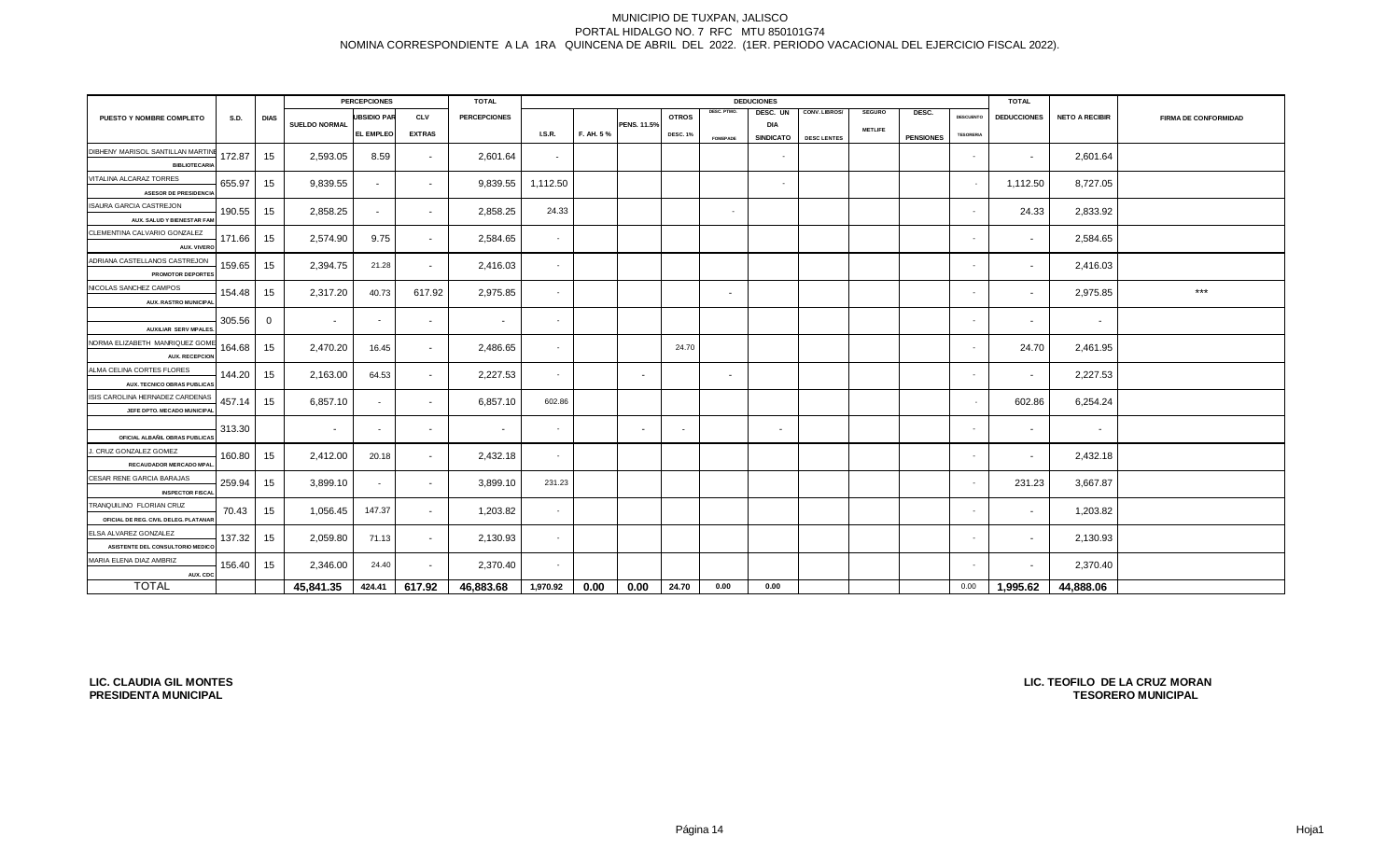|                                                               | <b>PERCEPCIONES</b> |              | <b>TOTAL</b>             |                          |                          |                     |               | <b>TOTAL</b> |             |                 |                 |                          |                    |                |                  |                          |                    |                       |                      |
|---------------------------------------------------------------|---------------------|--------------|--------------------------|--------------------------|--------------------------|---------------------|---------------|--------------|-------------|-----------------|-----------------|--------------------------|--------------------|----------------|------------------|--------------------------|--------------------|-----------------------|----------------------|
| PUESTO Y NOMBRE COMPLETO                                      | <b>S.D.</b>         | <b>DIAS</b>  |                          | <b>UBSIDIO PAR</b>       | <b>CLV</b>               | <b>PERCEPCIONES</b> |               |              |             | <b>OTROS</b>    | DESC. PTMO.     | DESC. UN                 | CONV. LIBROS/      | <b>SEGURO</b>  | DESC.            | <b>DESCUENTO</b>         | <b>DEDUCCIONES</b> | <b>NETO A RECIBIR</b> | FIRMA DE CONFORMIDAD |
|                                                               |                     |              | <b>SUELDO NORMAL</b>     | <b>EL EMPLEO</b>         | <b>EXTRAS</b>            |                     | <b>I.S.R.</b> | F. AH. 5%    | PENS. 11.5% | <b>DESC. 1%</b> |                 | <b>DIA</b>               |                    | <b>METLIFE</b> |                  | <b>TESORERIA</b>         |                    |                       |                      |
|                                                               |                     |              |                          |                          |                          |                     |               |              |             |                 | <b>FOMEPADE</b> | <b>SINDICATO</b>         | <b>DESC LENTES</b> |                | <b>PENSIONES</b> |                          |                    |                       |                      |
| DIBHENY MARISOL SANTILLAN MARTIN<br><b>BIBLIOTECARI</b>       | 172.87              | 15           | 2,593.05                 | 8.59                     | $\sim$                   | 2,601.64            | $\sim$        |              |             |                 |                 | $\sim$                   |                    |                |                  | $\sim$                   | $\sim$             | 2,601.64              |                      |
| VITALINA ALCARAZ TORRES                                       |                     |              |                          |                          |                          |                     |               |              |             |                 |                 |                          |                    |                |                  |                          |                    |                       |                      |
| <b>ASESOR DE PRESIDENCIA</b>                                  | 655.97              | 15           | 9,839.55                 | $\sim$                   | $\sim$                   | 9,839.55            | 1,112.50      |              |             |                 |                 | $\sim$                   |                    |                |                  | $\overline{\phantom{a}}$ | 1,112.50           | 8,727.05              |                      |
| ISAURA GARCIA CASTREJON                                       |                     |              |                          |                          |                          |                     |               |              |             |                 |                 |                          |                    |                |                  |                          |                    |                       |                      |
| AUX. SALUD Y BIENESTAR FAM                                    | 190.55              | 15           | 2,858.25                 | $\sim$                   | $\sim$                   | 2,858.25            | 24.33         |              |             |                 | $\sim$          |                          |                    |                |                  | $\sim$                   | 24.33              | 2,833.92              |                      |
| CLEMENTINA CALVARIO GONZALEZ                                  | 171.66              | 15           | 2,574.90                 | 9.75                     |                          | 2,584.65            | $\sim$        |              |             |                 |                 |                          |                    |                |                  | $\sim$                   |                    | 2,584.65              |                      |
| AUX. VIVER                                                    |                     |              |                          |                          | $\sim$                   |                     |               |              |             |                 |                 |                          |                    |                |                  |                          | $\sim$             |                       |                      |
| ADRIANA CASTELLANOS CASTREJON                                 | 159.65              | 15           | 2,394.75                 | 21.28                    | $\sim$                   | 2,416.03            | $\sim$        |              |             |                 |                 |                          |                    |                |                  | $\sim$                   | $\sim$             | 2,416.03              |                      |
| <b>PROMOTOR DEPORTES</b>                                      |                     |              |                          |                          |                          |                     |               |              |             |                 |                 |                          |                    |                |                  |                          |                    |                       |                      |
| NICOLAS SANCHEZ CAMPOS                                        | 154.48              | 15           | 2,317.20                 | 40.73                    | 617.92                   | 2,975.85            | $\sim$        |              |             |                 | $\sim$          |                          |                    |                |                  | $\sim$                   | $\sim$             | 2,975.85              | $***$                |
| <b>AUX. RASTRO MUNICIPA</b>                                   |                     |              |                          |                          |                          |                     |               |              |             |                 |                 |                          |                    |                |                  |                          |                    |                       |                      |
|                                                               | 305.56              | $\mathbf{0}$ | $\overline{\phantom{a}}$ | $\overline{\phantom{a}}$ | $\sim$                   | $\sim$              | $\sim$        |              |             |                 |                 |                          |                    |                |                  | $\sim$                   | $\sim$             | $\sim$                |                      |
| <b>AUXILIAR SERV MPALES</b><br>NORMA ELIZABETH MANRIQUEZ GOME |                     |              |                          |                          |                          |                     |               |              |             |                 |                 |                          |                    |                |                  |                          |                    |                       |                      |
| <b>AUX. RECEPCIOI</b>                                         | 164.68              | 15           | 2,470.20                 | 16.45                    | $\sim$                   | 2,486.65            |               |              |             | 24.70           |                 |                          |                    |                |                  | $\sim$                   | 24.70              | 2,461.95              |                      |
| ALMA CELINA CORTES FLORES                                     |                     |              |                          |                          |                          |                     |               |              |             |                 |                 |                          |                    |                |                  |                          |                    |                       |                      |
| AUX. TECNICO OBRAS PUBLICA!                                   | 144.20              | 15           | 2,163.00                 | 64.53                    | $\overline{\phantom{a}}$ | 2,227.53            |               |              |             |                 | $\sim$          |                          |                    |                |                  | ٠                        |                    | 2,227.53              |                      |
| ISIS CAROLINA HERNADEZ CARDENAS                               | 457.14              | 15           | 6,857.10                 | $\overline{\phantom{a}}$ | $\sim$                   | 6,857.10            | 602.86        |              |             |                 |                 |                          |                    |                |                  |                          | 602.86             | 6,254.24              |                      |
| JEFE DPTO. MECADO MUNICIPA                                    |                     |              |                          |                          |                          |                     |               |              |             |                 |                 |                          |                    |                |                  |                          |                    |                       |                      |
|                                                               | 313.30              |              |                          | $\overline{\phantom{a}}$ | $\sim$                   | $\sim$              |               |              | $\sim$      | $\sim$          |                 | $\overline{\phantom{a}}$ |                    |                |                  | $\sim$                   |                    | $\sim$                |                      |
| OFICIAL ALBAÑIL OBRAS PUBLICA                                 |                     |              |                          |                          |                          |                     |               |              |             |                 |                 |                          |                    |                |                  |                          |                    |                       |                      |
| . CRUZ GONZALEZ GOMEZ                                         | 160.80              | 15           | 2,412.00                 | 20.18                    | $\sim$                   | 2,432.18            | $\sim$        |              |             |                 |                 |                          |                    |                |                  | $\sim$                   | $\sim$             | 2,432.18              |                      |
| RECAUDADOR MERCADO MPA<br>CESAR RENE GARCIA BARAJAS           |                     |              |                          |                          |                          |                     |               |              |             |                 |                 |                          |                    |                |                  |                          |                    |                       |                      |
| <b>INSPECTOR FISCA</b>                                        | 259.94              | 15           | 3,899.10                 | $\sim$                   | $\sim$                   | 3,899.10            | 231.23        |              |             |                 |                 |                          |                    |                |                  | $\sim$                   | 231.23             | 3,667.87              |                      |
| TRANQUILINO FLORIAN CRUZ                                      |                     |              |                          |                          |                          |                     |               |              |             |                 |                 |                          |                    |                |                  |                          |                    |                       |                      |
| OFICIAL DE REG. CIVIL DELEG. PLATANAR                         | 70.43               | 15           | 1,056.45                 | 147.37                   | $\sim$                   | 1,203.82            | $\sim$        |              |             |                 |                 |                          |                    |                |                  | $\sim$                   | $\sim$             | 1,203.82              |                      |
| ELSA ALVAREZ GONZALEZ                                         | 137.32              | 15           | 2,059.80                 | 71.13                    | $\sim$                   | 2,130.93            | $\sim$        |              |             |                 |                 |                          |                    |                |                  | $\sim$                   | $\sim$             | 2,130.93              |                      |
| ASISTENTE DEL CONSULTORIO MEDICO                              |                     |              |                          |                          |                          |                     |               |              |             |                 |                 |                          |                    |                |                  |                          |                    |                       |                      |
| MARIA ELENA DIAZ AMBRIZ                                       | 156.40              | 15           | 2,346.00                 | 24.40                    | $\sim$                   | 2,370.40            | $\sim$        |              |             |                 |                 |                          |                    |                |                  | $\sim$                   |                    | 2,370.40              |                      |
| AUX. CDC                                                      |                     |              |                          |                          |                          |                     |               |              |             |                 |                 |                          |                    |                |                  |                          |                    |                       |                      |
| <b>TOTAL</b>                                                  |                     |              | 45,841.35                | 424.41                   | 617.92                   | 46,883.68           | 1,970.92      | 0.00         | 0.00        | 24.70           | 0.00            | 0.00                     |                    |                |                  | 0.00                     | 1,995.62           | 44,888.06             |                      |

**LIC. CLAUDIA GIL MONTES PRESIDENTA MUNICIPAL**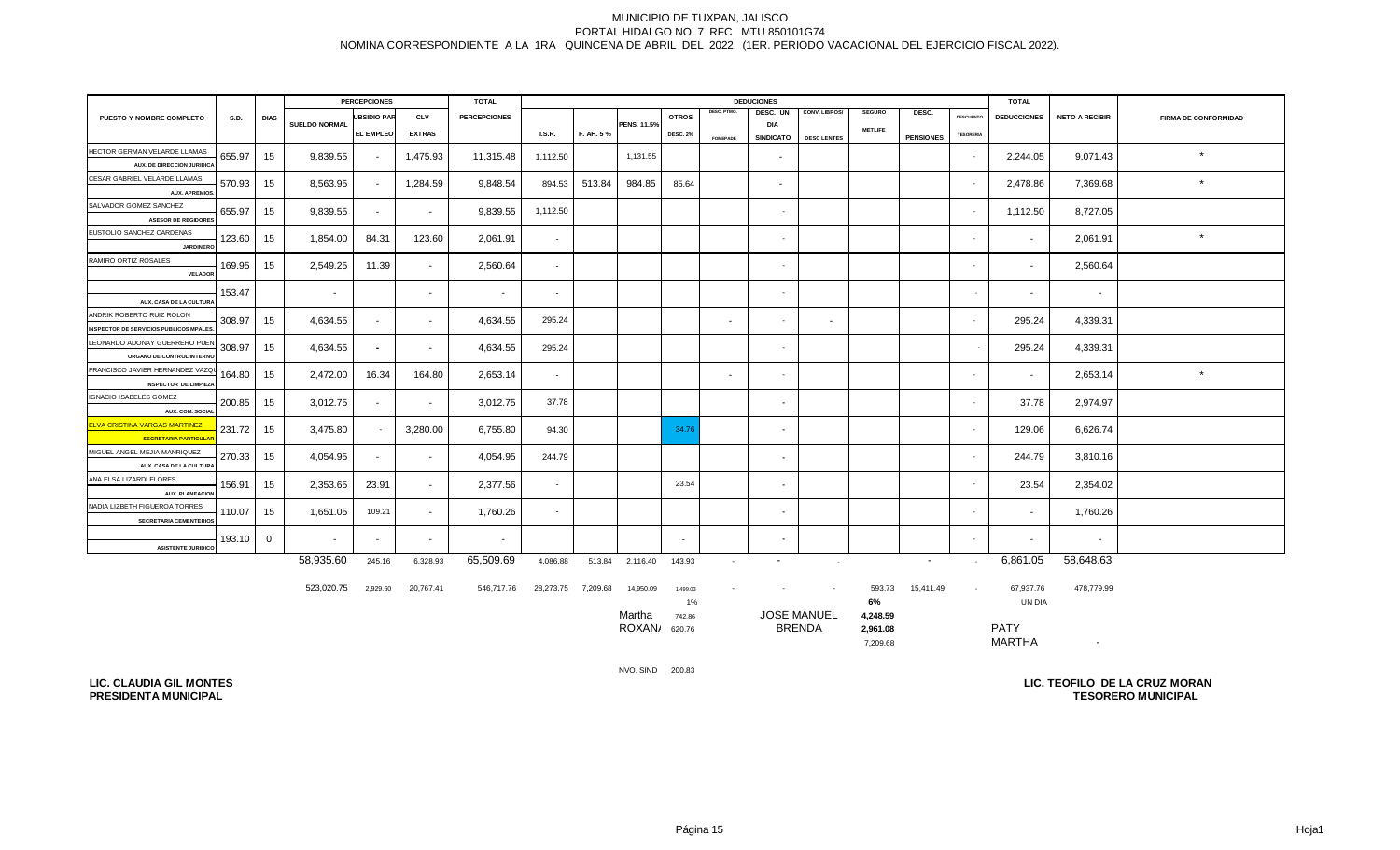|                                                         |             | <b>PERCEPCIONES</b><br><b>DEDUCIONES</b><br><b>TOTAL</b> |               |                    |               |                     |                          | <b>TOTAL</b> |                    |                 |                 |                          |                    |                |                  |                  |                    |                       |                             |
|---------------------------------------------------------|-------------|----------------------------------------------------------|---------------|--------------------|---------------|---------------------|--------------------------|--------------|--------------------|-----------------|-----------------|--------------------------|--------------------|----------------|------------------|------------------|--------------------|-----------------------|-----------------------------|
| PUESTO Y NOMBRE COMPLETO                                | <b>S.D.</b> | <b>DIAS</b>                                              |               | <b>UBSIDIO PAR</b> | <b>CLV</b>    | <b>PERCEPCIONES</b> |                          |              |                    | <b>OTROS</b>    | DESC. PTMO.     | DESC. UN                 | CONV. LIBROS/      | <b>SEGURO</b>  | DESC.            | <b>DESCUENTO</b> | <b>DEDUCCIONES</b> | <b>NETO A RECIBIR</b> | <b>FIRMA DE CONFORMIDAD</b> |
|                                                         |             |                                                          | SUELDO NORMAL | EL EMPLEO          | <b>EXTRAS</b> |                     | <b>I.S.R.</b>            | F. AH. 5%    | <b>PENS. 11.5%</b> | <b>DESC. 2%</b> |                 | DIA<br><b>SINDICATO</b>  | <b>DESC LENTES</b> | <b>METLIFE</b> | <b>PENSIONES</b> | <b>TESORERIA</b> |                    |                       |                             |
| HECTOR GERMAN VELARDE LLAMAS                            |             |                                                          |               |                    |               |                     |                          |              |                    |                 | <b>FOMEPADE</b> |                          |                    |                |                  |                  |                    |                       |                             |
| AUX. DE DIRECCION JURIDICA                              | 655.97      | 15                                                       | 9,839.55      | $\sim$             | 1,475.93      | 11,315.48           | 1,112.50                 |              | 1,131.55           |                 |                 | $\sim$                   |                    |                |                  | $\sim$           | 2,244.05           | 9,071.43              | $\star$                     |
| CESAR GABRIEL VELARDE LLAMAS                            |             |                                                          |               |                    |               |                     | 894.53                   |              |                    |                 |                 |                          |                    |                |                  |                  |                    |                       | $\star$                     |
| <b>AUX. APREMIOS</b>                                    | 570.93      | 15                                                       | 8,563.95      | $\sim$             | 1,284.59      | 9,848.54            |                          | 513.84       | 984.85             | 85.64           |                 | $\sim$                   |                    |                |                  | $\sim$           | 2,478.86           | 7,369.68              |                             |
| SALVADOR GOMEZ SANCHEZ                                  | 655.97      | 15                                                       | 9,839.55      | $\sim$             | $\sim$        | 9,839.55            | 1,112.50                 |              |                    |                 |                 | $\sim$                   |                    |                |                  | $\sim$           | 1,112.50           | 8,727.05              |                             |
| <b>ASESOR DE REGIDORES</b>                              |             |                                                          |               |                    |               |                     |                          |              |                    |                 |                 |                          |                    |                |                  |                  |                    |                       |                             |
| EUSTOLIO SANCHEZ CARDENAS                               | 123.60      | 15                                                       | 1,854.00      | 84.31              | 123.60        | 2,061.91            | $\overline{\phantom{a}}$ |              |                    |                 |                 | $\sim$                   |                    |                |                  | $\sim$           | $\sim$             | 2,061.91              | $\star$                     |
| <b>JARDINERO</b>                                        |             |                                                          |               |                    |               |                     |                          |              |                    |                 |                 |                          |                    |                |                  |                  |                    |                       |                             |
| RAMIRO ORTIZ ROSALES                                    | 169.95      | 15                                                       | 2,549.25      | 11.39              | $\sim$        | 2,560.64            | $\overline{\phantom{a}}$ |              |                    |                 |                 | $\sim$                   |                    |                |                  | $\sim$           | $\sim$             | 2,560.64              |                             |
| VELADOR                                                 |             |                                                          |               |                    |               |                     |                          |              |                    |                 |                 |                          |                    |                |                  |                  |                    |                       |                             |
| AUX. CASA DE LA CULTURA                                 | 153.47      |                                                          |               |                    | $\sim$        | $\sim$              | $\overline{\phantom{a}}$ |              |                    |                 |                 | $\sim$                   |                    |                |                  |                  | $\sim$             | $\sim$                |                             |
| ANDRIK ROBERTO RUIZ ROLON                               |             |                                                          |               |                    |               |                     |                          |              |                    |                 |                 |                          |                    |                |                  |                  |                    |                       |                             |
| <b>INSPECTOR DE SERVICIOS PUBLICOS MPALES</b>           | 308.97      | 15                                                       | 4,634.55      | $\sim$             | $\sim$        | 4,634.55            | 295.24                   |              |                    |                 | $\sim$          | $\sim$                   | $\sim$             |                |                  | $\sim$           | 295.24             | 4,339.31              |                             |
| LEONARDO ADONAY GUERRERO PUEN                           | 308.97      | 15                                                       | 4.634.55      | $\sim$             | $\sim$        | 4,634.55            | 295.24                   |              |                    |                 |                 | $\sim$                   |                    |                |                  |                  | 295.24             | 4,339.31              |                             |
| ORGANO DE CONTROL INTERNO                               |             |                                                          |               |                    |               |                     |                          |              |                    |                 |                 |                          |                    |                |                  |                  |                    |                       |                             |
| FRANCISCO JAVIER HERNANDEZ VAZQU                        | 164.80      | 15                                                       | 2,472.00      | 16.34              | 164.80        | 2,653.14            | $\sim$                   |              |                    |                 | $\sim$          | $\sim$                   |                    |                |                  | $\sim$           | $\sim$             | 2,653.14              | $\star$                     |
| <b>INSPECTOR DE LIMPIEZA</b>                            |             |                                                          |               |                    |               |                     |                          |              |                    |                 |                 |                          |                    |                |                  |                  |                    |                       |                             |
| IGNACIO ISABELES GOMEZ                                  | 200.85      | 15                                                       | 3,012.75      | $\sim$             | $\sim$        | 3,012.75            | 37.78                    |              |                    |                 |                 | $\overline{\phantom{a}}$ |                    |                |                  | $\sim$           | 37.78              | 2,974.97              |                             |
| AUX. COM. SOCIAL<br><b>LVA CRISTINA VARGAS MARTINEZ</b> |             |                                                          |               |                    |               |                     |                          |              |                    |                 |                 |                          |                    |                |                  |                  |                    |                       |                             |
| <b>SECRETARIA PARTICULA</b>                             | 231.72      | 15                                                       | 3,475.80      | $\sim$             | 3,280.00      | 6,755.80            | 94.30                    |              |                    | 34.76           |                 | $\overline{\phantom{a}}$ |                    |                |                  |                  | 129.06             | 6,626.74              |                             |
| MIGUEL ANGEL MEJIA MANRIQUEZ                            |             |                                                          |               |                    |               |                     |                          |              |                    |                 |                 |                          |                    |                |                  |                  |                    |                       |                             |
| AUX. CASA DE LA CULTURA                                 | 270.33      | 15                                                       | 4,054.95      | $\sim$             | $\sim$        | 4,054.95            | 244.79                   |              |                    |                 |                 | $\sim$                   |                    |                |                  | $\sim$           | 244.79             | 3,810.16              |                             |
| ANA ELSA LIZARDI FLORES                                 | 156.91      | 15                                                       | 2,353.65      | 23.91              | $\sim$        | 2,377.56            | $\sim$                   |              |                    | 23.54           |                 | $\sim$                   |                    |                |                  | $\sim$           | 23.54              | 2,354.02              |                             |
| <b>AUX. PLANEACION</b>                                  |             |                                                          |               |                    |               |                     |                          |              |                    |                 |                 |                          |                    |                |                  |                  |                    |                       |                             |
| NADIA LIZBETH FIGUEROA TORRES                           | 110.07      | 15                                                       | 1,651.05      | 109.21             | $\sim$        | 1,760.26            | $\overline{\phantom{a}}$ |              |                    |                 |                 | $\sim$                   |                    |                |                  | $\sim$           |                    | 1,760.26              |                             |
| <b>SECRETARIA CEMENTERIOS</b>                           |             |                                                          |               |                    |               |                     |                          |              |                    |                 |                 |                          |                    |                |                  |                  |                    |                       |                             |
|                                                         | 193.10      | $\mathbf{0}$                                             | $\sim$        | $\sim$             | $\sim$        | $\sim$              |                          |              |                    | $\sim$          |                 | $\sim$                   |                    |                |                  | $\sim$           | $\sim$             | $\sim$                |                             |
| <b>ASISTENTE JURIDICO</b>                               |             |                                                          | 58,935.60     | 245.16             | 6,328.93      | 65,509.69           | 4,086.88                 |              | 513.84 2,116.40    |                 |                 | $\sim$                   |                    |                | $\sim 100$       |                  | 6,861.05           | 58,648.63             |                             |
|                                                         |             |                                                          |               |                    |               |                     |                          |              |                    | 143.93          | $\sim$          |                          | <b>Contract</b>    |                |                  | $\sim 10^{-11}$  |                    |                       |                             |

| 523,020.75 | 2,929.60 | 20,767.41 | 546,717.76 | 28,273.75 | 7,209.68 | 14,950.09 | 1,499.03 |                    | $\sim$ | 593.73   | 15.411.49 | 67,937.76     | 478,779.99 |  |
|------------|----------|-----------|------------|-----------|----------|-----------|----------|--------------------|--------|----------|-----------|---------------|------------|--|
|            |          |           |            |           |          |           | 1%       |                    |        | 6%       |           | UN DIA        |            |  |
|            |          |           |            |           |          | Martha    | 742.86   | <b>JOSE MANUEL</b> |        | 4,248.59 |           |               |            |  |
|            |          |           |            |           |          | ROXAN/    | 620.76   | <b>BRENDA</b>      |        | 2.961.08 |           | <b>PATY</b>   |            |  |
|            |          |           |            |           |          |           |          |                    |        | 7,209.68 |           | <b>MARTHA</b> |            |  |

NVO. SIND 200.83

**LIC. CLAUDIA GIL MONTES PRESIDENTA MUNICIPAL**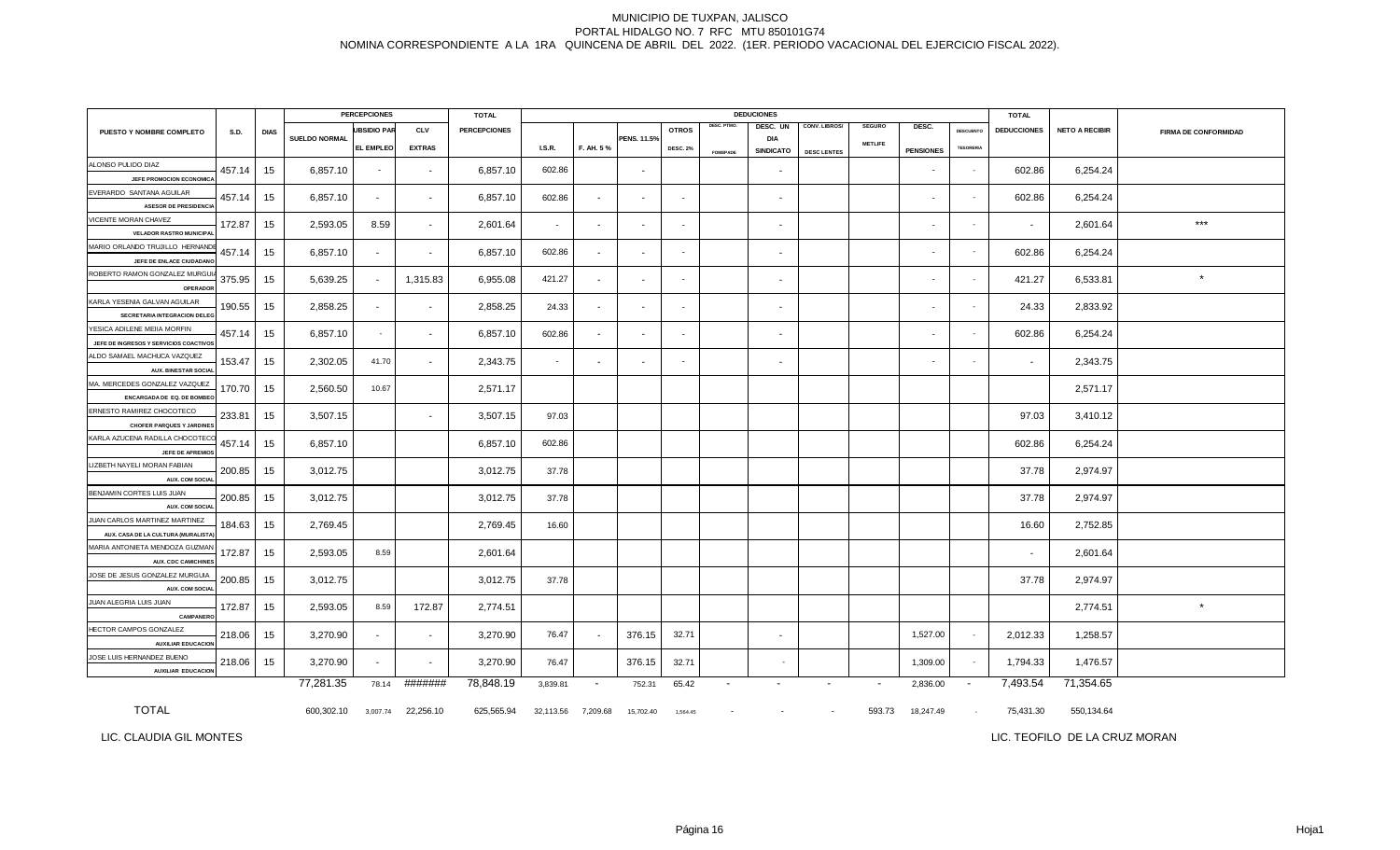|                                                                       |        |             |               | <b>PERCEPCIONES</b>      |                          | <b>TOTAL</b>        |           |                          |                          |                 |                 | <b>DEDUCIONES</b>              |                      |                          |                          |                  | <b>TOTAL</b>       |                       |                             |
|-----------------------------------------------------------------------|--------|-------------|---------------|--------------------------|--------------------------|---------------------|-----------|--------------------------|--------------------------|-----------------|-----------------|--------------------------------|----------------------|--------------------------|--------------------------|------------------|--------------------|-----------------------|-----------------------------|
| PUESTO Y NOMBRE COMPLETO                                              | S.D.   | <b>DIAS</b> |               | <b>UBSIDIO PAR</b>       | <b>CLV</b>               | <b>PERCEPCIONES</b> |           |                          |                          | <b>OTROS</b>    | DESC. PTMO.     | DESC. UN                       | <b>CONV. LIBROS/</b> | <b>SEGURO</b>            | DESC.                    | <b>DESCUENTO</b> | <b>DEDUCCIONES</b> | <b>NETO A RECIBIR</b> | <b>FIRMA DE CONFORMIDAD</b> |
|                                                                       |        |             | SUELDO NORMAL | EL EMPLEO                | <b>EXTRAS</b>            |                     | LS.R.     | F. AH. 5%                | PENS. 11.5%              | <b>DESC. 2%</b> | <b>FOMEPADE</b> | <b>DIA</b><br><b>SINDICATO</b> | <b>DESC LENTES</b>   | <b>METLIFE</b>           | <b>PENSIONES</b>         | <b>TESORERIA</b> |                    |                       |                             |
| ALONSO PULIDO DIAZ<br>JEFE PROMOCION ECONOMIC.                        | 457.14 | 15          | 6,857.10      | $\overline{\phantom{a}}$ | $\sim$                   | 6,857.10            | 602.86    |                          | $\overline{\phantom{a}}$ |                 |                 | $\sim$                         |                      |                          | $\overline{\phantom{a}}$ | $\sim$           | 602.86             | 6,254.24              |                             |
| EVERARDO SANTANA AGUILAR                                              | 457.14 | 15          | 6,857.10      | $\sim$                   | $\sim$                   | 6,857.10            | 602.86    | $\sim$                   | $\blacksquare$           | $\sim$          |                 | $\sim$                         |                      |                          | $\sim$                   | $\sim$           | 602.86             | 6,254.24              |                             |
| <b>ASESOR DE PRESIDENCIA</b>                                          |        |             |               |                          |                          |                     |           |                          |                          |                 |                 |                                |                      |                          |                          |                  |                    |                       |                             |
| VICENTE MORAN CHAVEZ<br><b>VELADOR RASTRO MUNICIPA</b>                | 172.87 | 15          | 2,593.05      | 8.59                     | $\sim$                   | 2,601.64            | $\sim$    | $\overline{\phantom{a}}$ | $\overline{\phantom{a}}$ | $\sim$          |                 | $\sim$                         |                      |                          | $\overline{\phantom{a}}$ |                  | $\sim$             | 2,601.64              | $***$                       |
| MARIO ORLANDO TRUJILLO HERNAND<br>JEFE DE ENLACE CIUDADANO            | 457.14 | 15          | 6,857.10      | $\sim$                   | $\overline{\phantom{a}}$ | 6,857.10            | 602.86    |                          |                          | $\sim$          |                 | $\sim$                         |                      |                          | $\sim$                   | $\sim$           | 602.86             | 6,254.24              |                             |
| ROBERTO RAMON GONZALEZ MURGUI<br>OPERADO                              | 375.95 | 15          | 5,639.25      | $\blacksquare$           | 1,315.83                 | 6,955.08            | 421.27    | $\sim$                   | $\blacksquare$           | $\sim$          |                 | $\sim$                         |                      |                          |                          | $\sim$           | 421.27             | 6,533.81              | $\star$                     |
| KARLA YESENIA GALVAN AGUILAR<br>SECRETARIA INTEGRACION DELE           | 190.55 | 15          | 2,858.25      | $\sim$                   | $\sim$                   | 2,858.25            | 24.33     | $\sim$                   | $\blacksquare$           | $\sim$          |                 | $\sim$                         |                      |                          | $\sim$                   | $\sim$           | 24.33              | 2,833.92              |                             |
| YESICA ADILENE MEIIA MORFIN<br>JEFE DE INGRESOS Y SERVICIOS COACTIVOS | 457.14 | 15          | 6,857.10      | $\sim$                   | $\overline{\phantom{a}}$ | 6,857.10            | 602.86    |                          |                          | $\sim$          |                 | $\sim$                         |                      |                          | $\sim$                   | $\sim$           | 602.86             | 6,254.24              |                             |
| ALDO SAMAEL MACHUCA VAZQUEZ<br><b>AUX. BINESTAR SOCIAL</b>            | 153.47 | 15          | 2,302.05      | 41.70                    | $\sim$                   | 2,343.75            | $\sim$    | $\blacksquare$           | $\blacksquare$           | $\sim$          |                 | $\sim$                         |                      |                          |                          | $\sim$           | $\sim$             | 2,343.75              |                             |
| MA. MERCEDES GONZALEZ VAZQUEZ<br>ENCARGADA DE EQ. DE BOMBE            | 170.70 | 15          | 2,560.50      | 10.67                    |                          | 2,571.17            |           |                          |                          |                 |                 |                                |                      |                          |                          |                  |                    | 2,571.17              |                             |
| ERNESTO RAMIREZ CHOCOTECO<br><b>CHOFER PARQUES Y JARDINES</b>         | 233.81 | 15          | 3,507.15      |                          | $\overline{\phantom{a}}$ | 3,507.15            | 97.03     |                          |                          |                 |                 |                                |                      |                          |                          |                  | 97.03              | 3,410.12              |                             |
| KARLA AZUCENA RADILLA CHOCOTEC                                        | 457.14 | 15          | 6,857.10      |                          |                          | 6,857.10            | 602.86    |                          |                          |                 |                 |                                |                      |                          |                          |                  | 602.86             | 6,254.24              |                             |
| JEFE DE APREMIO:<br>LIZBETH NAYELI MORAN FABIAN                       | 200.85 | 15          | 3,012.75      |                          |                          | 3,012.75            | 37.78     |                          |                          |                 |                 |                                |                      |                          |                          |                  | 37.78              | 2,974.97              |                             |
| <b>AUX. COM SOCIA</b><br>BENJAMIN CORTES LUIS JUAN                    | 200.85 | 15          | 3,012.75      |                          |                          | 3,012.75            | 37.78     |                          |                          |                 |                 |                                |                      |                          |                          |                  | 37.78              | 2,974.97              |                             |
| AUX. COM SOCIA<br>JUAN CARLOS MARTINEZ MARTINEZ                       | 184.63 | 15          | 2,769.45      |                          |                          | 2,769.45            | 16.60     |                          |                          |                 |                 |                                |                      |                          |                          |                  | 16.60              | 2,752.85              |                             |
| AUX. CASA DE LA CULTURA (MURALISTA<br>MARIA ANTONIETA MENDOZA GUZMAN  | 172.87 | 15          | 2,593.05      | 8.59                     |                          | 2,601.64            |           |                          |                          |                 |                 |                                |                      |                          |                          |                  | $\sim$             | 2,601.64              |                             |
| <b>AUX. CDC CAMICHINE:</b><br>JOSE DE JESUS GONZALEZ MURGUIA          | 200.85 | 15          | 3,012.75      |                          |                          | 3,012.75            | 37.78     |                          |                          |                 |                 |                                |                      |                          |                          |                  | 37.78              | 2,974.97              |                             |
| AUX. COM SOCIA                                                        |        |             |               |                          |                          |                     |           |                          |                          |                 |                 |                                |                      |                          |                          |                  |                    |                       |                             |
| JUAN ALEGRIA LUIS JUAN<br>CAMPANERO                                   | 172.87 | 15          | 2,593.05      | 8.59                     | 172.87                   | 2,774.51            |           |                          |                          |                 |                 |                                |                      |                          |                          |                  |                    | 2,774.51              | $\star$                     |
| HECTOR CAMPOS GONZALEZ<br><b>AUXILIAR EDUCACION</b>                   | 218.06 | 15          | 3,270.90      | $\sim$                   | $\sim$                   | 3,270.90            | 76.47     |                          | 376.15                   | 32.71           |                 | $\sim$                         |                      |                          | 1,527.00                 | $\sim$           | 2,012.33           | 1,258.57              |                             |
| JOSE LUIS HERNANDEZ BUENO<br><b>AUXILIAR EDUCACION</b>                | 218.06 | 15          | 3,270.90      | $\sim$                   | $\sim$                   | 3,270.90            | 76.47     |                          | 376.15                   | 32.71           |                 | $\overline{\phantom{a}}$       |                      |                          | 1,309.00                 | $\sim$           | 1,794.33           | 1,476.57              |                             |
|                                                                       |        |             | 77,281.35     | 78.14                    | #######                  | 78,848.19           | 3,839.81  | $\sim$                   | 752.31                   | 65.42           | $\sim$          | $\blacksquare$                 | $\blacksquare$       | $\overline{\phantom{a}}$ | 2,836.00                 | $\sim$           | 7,493.54           | 71,354.65             |                             |
| <b>TOTAL</b>                                                          |        |             | 600,302.10    | 3,007.74                 | 22,256.10                | 625,565.94          | 32,113.56 | 7,209.68                 | 15,702.40                | 1,564.45        |                 | $\overline{\phantom{a}}$       | $\sim$               | 593.73                   | 18,247.49                | $\sim$           | 75,431.30          | 550,134.64            |                             |

LIC. CLAUDIA GIL MONTES

LIC. TEOFILO DE LA CRUZ MORAN